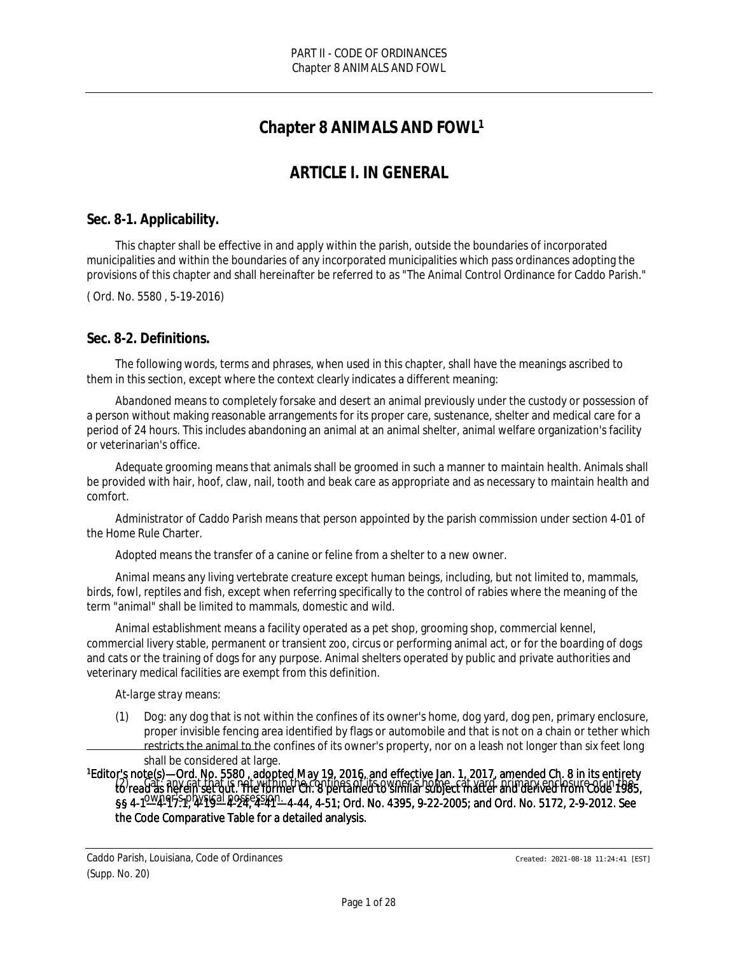# **Chapter 8 ANIMALS AND FOWL<sup>1</sup>**

# *ARTICLE I. IN GENERAL*

### **Sec. 8-1. Applicability.**

This chapter shall be effective in and apply within the parish, outside the boundaries of incorporated municipalities and within the boundaries of any incorporated municipalities which pass ordinances adopting the provisions of this chapter and shall hereinafter be referred to as "The Animal Control Ordinance for Caddo Parish."

( Ord. No. 5580 , 5-19-2016)

### **Sec. 8-2. Definitions.**

The following words, terms and phrases, when used in this chapter, shall have the meanings ascribed to them in this section, except where the context clearly indicates a different meaning:

*Abandoned* means to completely forsake and desert an animal previously under the custody or possession of a person without making reasonable arrangements for its proper care, sustenance, shelter and medical care for a period of 24 hours. This includes abandoning an animal at an animal shelter, animal welfare organization's facility or veterinarian's office.

*Adequate grooming* means that animals shall be groomed in such a manner to maintain health. Animals shall be provided with hair, hoof, claw, nail, tooth and beak care as appropriate and as necessary to maintain health and comfort.

*Administrator of Caddo Parish* means that person appointed by the parish commission under section 4-01 of the Home Rule Charter.

*Adopted* means the transfer of a canine or feline from a shelter to a new owner.

*Animal* means any living vertebrate creature except human beings, including, but not limited to, mammals, birds, fowl, reptiles and fish, except when referring specifically to the control of rabies where the meaning of the term "animal" shall be limited to mammals, domestic and wild.

*Animal establishment* means a facility operated as a pet shop, grooming shop, commercial kennel, commercial livery stable, permanent or transient zoo, circus or performing animal act, or for the boarding of dogs and cats or the training of dogs for any purpose. Animal shelters operated by public and private authorities and veterinary medical facilities are exempt from this definition.

*At-large stray* means:

(1) Dog: any dog that is not within the confines of its owner's home, dog yard, dog pen, primary enclosure, proper invisible fencing area identified by flags or automobile and that is not on a chain or tether which restricts the animal to the confines of its owner's property, nor on a leash not longer than six feet long shall be considered at large.

<sup>1</sup>Editor's note(s)—Ord. No. 5580 , adopted May 19, 2016, and effective Jan. 1, 2017, amended Ch. 8 in its entirety (2) Cat: any cat that is not within the confines of its owner's home, cat yard, primary enclosure or in the 5<br>to read as herein set out. The former Ch. 8 pertained to similar subject matter and derived from Code 1985, §§ 4-1—4-17.1, 4-19—4-24, 4-41—4-44, 4-51; Ord. No. 4395, 9-22-2005; and Ord. No. 5172, 2-9-2012. See owner's physical possession. the Code Comparative Table for a detailed analysis.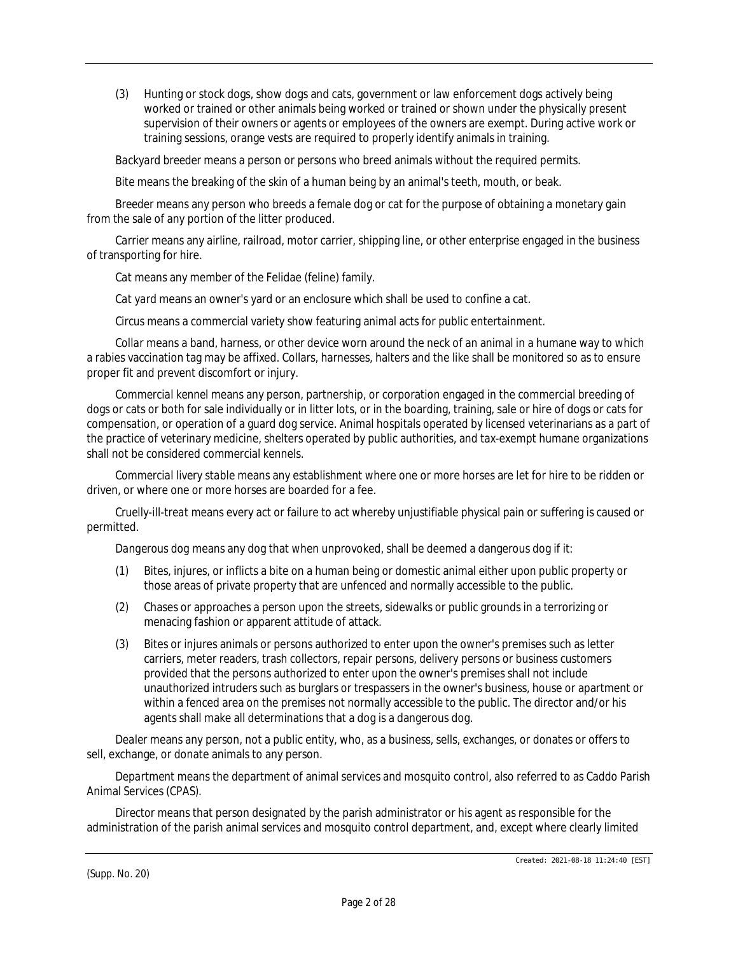(3) Hunting or stock dogs, show dogs and cats, government or law enforcement dogs actively being worked or trained or other animals being worked or trained or shown under the physically present supervision of their owners or agents or employees of the owners are exempt. During active work or training sessions, orange vests are required to properly identify animals in training.

*Backyard breeder* means a person or persons who breed animals without the required permits.

*Bite* means the breaking of the skin of a human being by an animal's teeth, mouth, or beak.

*Breeder* means any person who breeds a female dog or cat for the purpose of obtaining a monetary gain from the sale of any portion of the litter produced.

*Carrier* means any airline, railroad, motor carrier, shipping line, or other enterprise engaged in the business of transporting for hire.

*Cat* means any member of the Felidae (feline) family.

*Cat yard* means an owner's yard or an enclosure which shall be used to confine a cat.

*Circus* means a commercial variety show featuring animal acts for public entertainment.

*Collar* means a band, harness, or other device worn around the neck of an animal in a humane way to which a rabies vaccination tag may be affixed. Collars, harnesses, halters and the like shall be monitored so as to ensure proper fit and prevent discomfort or injury.

*Commercial kennel* means any person, partnership, or corporation engaged in the commercial breeding of dogs or cats or both for sale individually or in litter lots, or in the boarding, training, sale or hire of dogs or cats for compensation, or operation of a guard dog service. Animal hospitals operated by licensed veterinarians as a part of the practice of veterinary medicine, shelters operated by public authorities, and tax-exempt humane organizations shall not be considered commercial kennels.

*Commercial livery stable* means any establishment where one or more horses are let for hire to be ridden or driven, or where one or more horses are boarded for a fee.

*Cruelly-ill-treat* means every act or failure to act whereby unjustifiable physical pain or suffering is caused or permitted.

*Dangerous dog* means any dog that when unprovoked, shall be deemed a dangerous dog if it:

- (1) Bites, injures, or inflicts a bite on a human being or domestic animal either upon public property or those areas of private property that are unfenced and normally accessible to the public.
- (2) Chases or approaches a person upon the streets, sidewalks or public grounds in a terrorizing or menacing fashion or apparent attitude of attack.
- (3) Bites or injures animals or persons authorized to enter upon the owner's premises such as letter carriers, meter readers, trash collectors, repair persons, delivery persons or business customers provided that the persons authorized to enter upon the owner's premises shall not include unauthorized intruders such as burglars or trespassers in the owner's business, house or apartment or within a fenced area on the premises not normally accessible to the public. The director and/or his agents shall make all determinations that a dog is a dangerous dog.

*Dealer* means any person, not a public entity, who, as a business, sells, exchanges, or donates or offers to sell, exchange, or donate animals to any person.

*Department* means the department of animal services and mosquito control, also referred to as Caddo Parish Animal Services (CPAS).

*Director* means that person designated by the parish administrator or his agent as responsible for the administration of the parish animal services and mosquito control department, and, except where clearly limited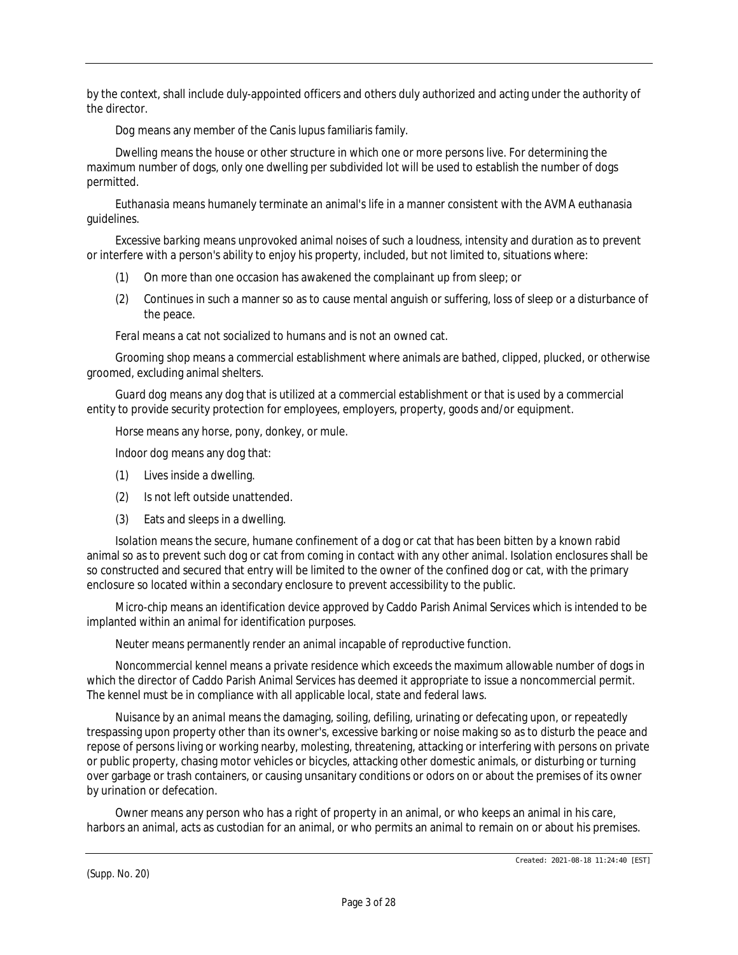by the context, shall include duly-appointed officers and others duly authorized and acting under the authority of the director.

*Dog* means any member of the Canis lupus familiaris family.

*Dwelling* means the house or other structure in which one or more persons live. For determining the maximum number of dogs, only one dwelling per subdivided lot will be used to establish the number of dogs permitted.

*Euthanasia* means humanely terminate an animal's life in a manner consistent with the AVMA euthanasia guidelines.

*Excessive barking* means unprovoked animal noises of such a loudness, intensity and duration as to prevent or interfere with a person's ability to enjoy his property, included, but not limited to, situations where:

- (1) On more than one occasion has awakened the complainant up from sleep; or
- (2) Continues in such a manner so as to cause mental anguish or suffering, loss of sleep or a disturbance of the peace.

*Feral* means a cat not socialized to humans and is not an owned cat.

*Grooming shop* means a commercial establishment where animals are bathed, clipped, plucked, or otherwise groomed, excluding animal shelters.

*Guard dog* means any dog that is utilized at a commercial establishment or that is used by a commercial entity to provide security protection for employees, employers, property, goods and/or equipment.

*Horse* means any horse, pony, donkey, or mule.

*Indoor dog* means any dog that:

- (1) Lives inside a dwelling.
- (2) Is not left outside unattended.
- (3) Eats and sleeps in a dwelling.

*Isolation* means the secure, humane confinement of a dog or cat that has been bitten by a known rabid animal so as to prevent such dog or cat from coming in contact with any other animal. Isolation enclosures shall be so constructed and secured that entry will be limited to the owner of the confined dog or cat, with the primary enclosure so located within a secondary enclosure to prevent accessibility to the public.

*Micro-chip* means an identification device approved by Caddo Parish Animal Services which is intended to be implanted within an animal for identification purposes.

*Neuter* means permanently render an animal incapable of reproductive function.

*Noncommercial kennel* means a private residence which exceeds the maximum allowable number of dogs in which the director of Caddo Parish Animal Services has deemed it appropriate to issue a noncommercial permit. The kennel must be in compliance with all applicable local, state and federal laws.

*Nuisance by an animal* means the damaging, soiling, defiling, urinating or defecating upon, or repeatedly trespassing upon property other than its owner's, excessive barking or noise making so as to disturb the peace and repose of persons living or working nearby, molesting, threatening, attacking or interfering with persons on private or public property, chasing motor vehicles or bicycles, attacking other domestic animals, or disturbing or turning over garbage or trash containers, or causing unsanitary conditions or odors on or about the premises of its owner by urination or defecation.

*Owner* means any person who has a right of property in an animal, or who keeps an animal in his care, harbors an animal, acts as custodian for an animal, or who permits an animal to remain on or about his premises.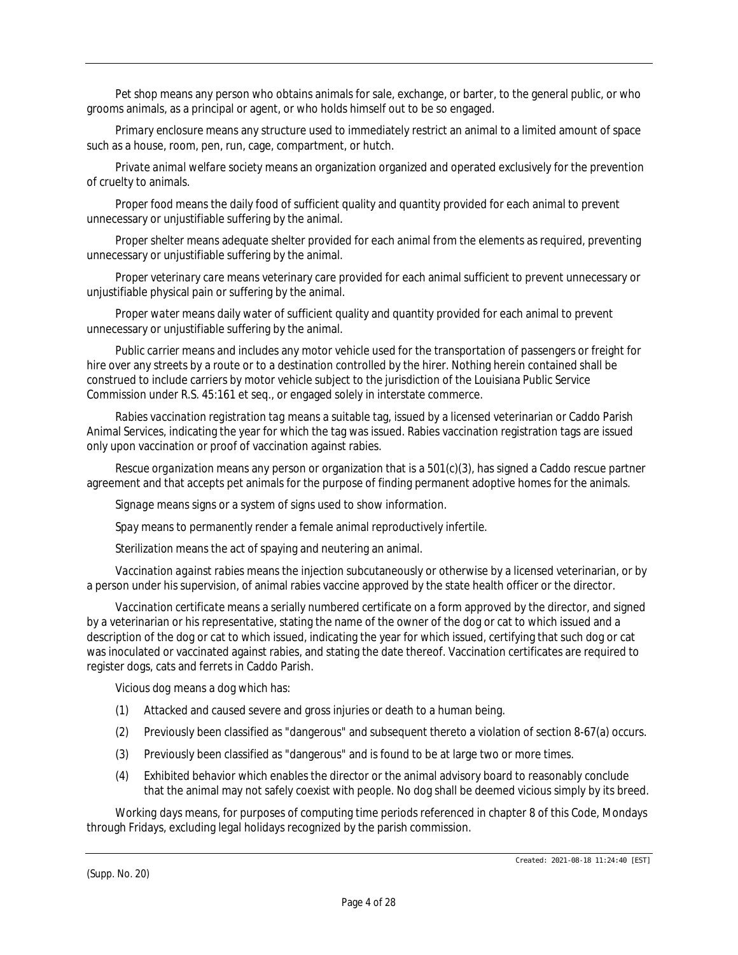*Pet shop* means any person who obtains animals for sale, exchange, or barter, to the general public, or who grooms animals, as a principal or agent, or who holds himself out to be so engaged.

*Primary enclosure* means any structure used to immediately restrict an animal to a limited amount of space such as a house, room, pen, run, cage, compartment, or hutch.

*Private animal welfare society* means an organization organized and operated exclusively for the prevention of cruelty to animals.

*Proper food* means the daily food of sufficient quality and quantity provided for each animal to prevent unnecessary or unjustifiable suffering by the animal.

*Proper shelter* means adequate shelter provided for each animal from the elements as required, preventing unnecessary or unjustifiable suffering by the animal.

*Proper veterinary care* means veterinary care provided for each animal sufficient to prevent unnecessary or unjustifiable physical pain or suffering by the animal.

*Proper water* means daily water of sufficient quality and quantity provided for each animal to prevent unnecessary or unjustifiable suffering by the animal.

*Public carrier* means and includes any motor vehicle used for the transportation of passengers or freight for hire over any streets by a route or to a destination controlled by the hirer. Nothing herein contained shall be construed to include carriers by motor vehicle subject to the jurisdiction of the Louisiana Public Service Commission under R.S. 45:161 et seq., or engaged solely in interstate commerce.

*Rabies vaccination registration tag* means a suitable tag, issued by a licensed veterinarian or Caddo Parish Animal Services, indicating the year for which the tag was issued. Rabies vaccination registration tags are issued only upon vaccination or proof of vaccination against rabies.

*Rescue organization* means any person or organization that is a 501(c)(3), has signed a Caddo rescue partner agreement and that accepts pet animals for the purpose of finding permanent adoptive homes for the animals.

*Signage* means signs or a system of signs used to show information.

*Spay* means to permanently render a female animal reproductively infertile.

*Sterilization* means the act of spaying and neutering an animal.

*Vaccination against rabies* means the injection subcutaneously or otherwise by a licensed veterinarian, or by a person under his supervision, of animal rabies vaccine approved by the state health officer or the director.

*Vaccination certificate* means a serially numbered certificate on a form approved by the director, and signed by a veterinarian or his representative, stating the name of the owner of the dog or cat to which issued and a description of the dog or cat to which issued, indicating the year for which issued, certifying that such dog or cat was inoculated or vaccinated against rabies, and stating the date thereof. Vaccination certificates are required to register dogs, cats and ferrets in Caddo Parish.

*Vicious dog* means a dog which has:

- (1) Attacked and caused severe and gross injuries or death to a human being.
- (2) Previously been classified as "dangerous" and subsequent thereto a violation of section 8-67(a) occurs.
- (3) Previously been classified as "dangerous" and is found to be at large two or more times.
- (4) Exhibited behavior which enables the director or the animal advisory board to reasonably conclude that the animal may not safely coexist with people. No dog shall be deemed vicious simply by its breed.

*Working days* means, for purposes of computing time periods referenced in chapter 8 of this Code, Mondays through Fridays, excluding legal holidays recognized by the parish commission.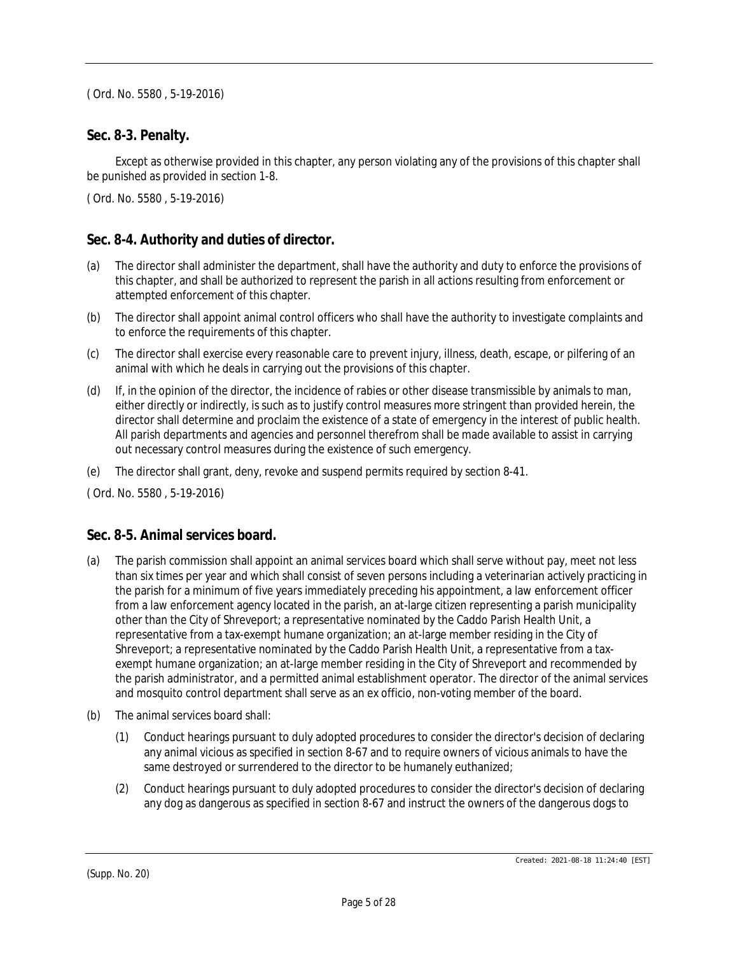### **Sec. 8-3. Penalty.**

Except as otherwise provided in this chapter, any person violating any of the provisions of this chapter shall be punished as provided in section 1-8.

( Ord. No. 5580 , 5-19-2016)

### **Sec. 8-4. Authority and duties of director.**

- (a) The director shall administer the department, shall have the authority and duty to enforce the provisions of this chapter, and shall be authorized to represent the parish in all actions resulting from enforcement or attempted enforcement of this chapter.
- (b) The director shall appoint animal control officers who shall have the authority to investigate complaints and to enforce the requirements of this chapter.
- (c) The director shall exercise every reasonable care to prevent injury, illness, death, escape, or pilfering of an animal with which he deals in carrying out the provisions of this chapter.
- (d) If, in the opinion of the director, the incidence of rabies or other disease transmissible by animals to man, either directly or indirectly, is such as to justify control measures more stringent than provided herein, the director shall determine and proclaim the existence of a state of emergency in the interest of public health. All parish departments and agencies and personnel therefrom shall be made available to assist in carrying out necessary control measures during the existence of such emergency.
- (e) The director shall grant, deny, revoke and suspend permits required by section 8-41.

( Ord. No. 5580 , 5-19-2016)

### **Sec. 8-5. Animal services board.**

- (a) The parish commission shall appoint an animal services board which shall serve without pay, meet not less than six times per year and which shall consist of seven persons including a veterinarian actively practicing in the parish for a minimum of five years immediately preceding his appointment, a law enforcement officer from a law enforcement agency located in the parish, an at-large citizen representing a parish municipality other than the City of Shreveport; a representative nominated by the Caddo Parish Health Unit, a representative from a tax-exempt humane organization; an at-large member residing in the City of Shreveport; a representative nominated by the Caddo Parish Health Unit, a representative from a taxexempt humane organization; an at-large member residing in the City of Shreveport and recommended by the parish administrator, and a permitted animal establishment operator. The director of the animal services and mosquito control department shall serve as an ex officio, non-voting member of the board.
- (b) The animal services board shall:
	- (1) Conduct hearings pursuant to duly adopted procedures to consider the director's decision of declaring any animal vicious as specified in section 8-67 and to require owners of vicious animals to have the same destroyed or surrendered to the director to be humanely euthanized;
	- (2) Conduct hearings pursuant to duly adopted procedures to consider the director's decision of declaring any dog as dangerous as specified in section 8-67 and instruct the owners of the dangerous dogs to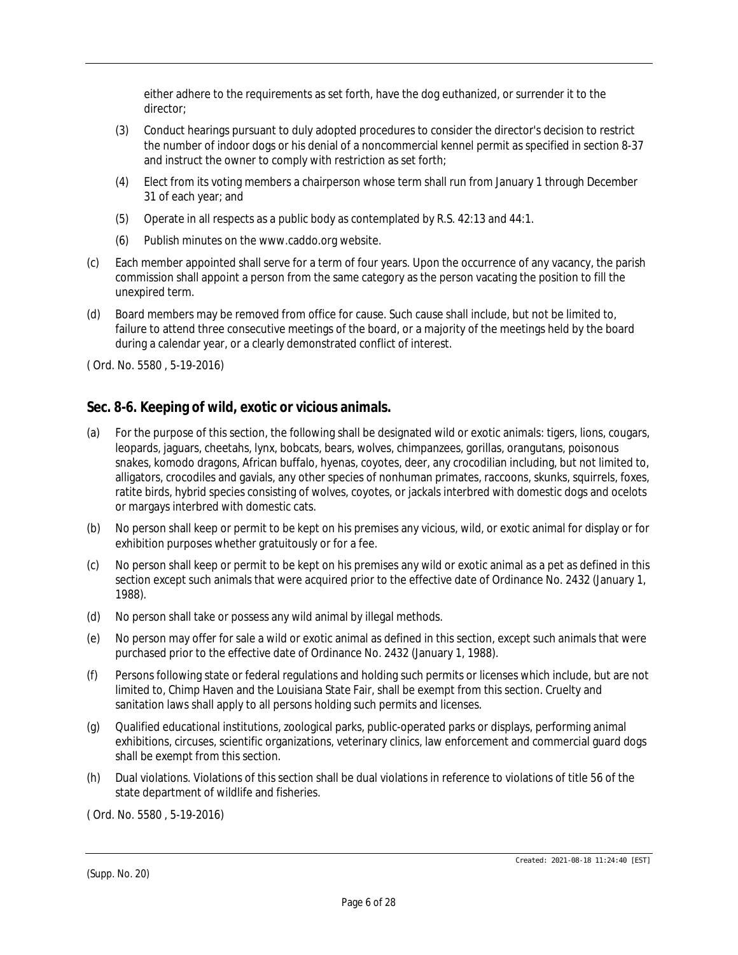either adhere to the requirements as set forth, have the dog euthanized, or surrender it to the director;

- (3) Conduct hearings pursuant to duly adopted procedures to consider the director's decision to restrict the number of indoor dogs or his denial of a noncommercial kennel permit as specified in section 8-37 and instruct the owner to comply with restriction as set forth;
- (4) Elect from its voting members a chairperson whose term shall run from January 1 through December 31 of each year; and
- (5) Operate in all respects as a public body as contemplated by R.S. 42:13 and 44:1.
- (6) Publish minutes on the www.caddo.org website.
- (c) Each member appointed shall serve for a term of four years. Upon the occurrence of any vacancy, the parish commission shall appoint a person from the same category as the person vacating the position to fill the unexpired term.
- (d) Board members may be removed from office for cause. Such cause shall include, but not be limited to, failure to attend three consecutive meetings of the board, or a majority of the meetings held by the board during a calendar year, or a clearly demonstrated conflict of interest.

( Ord. No. 5580 , 5-19-2016)

# **Sec. 8-6. Keeping of wild, exotic or vicious animals.**

- (a) For the purpose of this section, the following shall be designated wild or exotic animals: tigers, lions, cougars, leopards, jaguars, cheetahs, lynx, bobcats, bears, wolves, chimpanzees, gorillas, orangutans, poisonous snakes, komodo dragons, African buffalo, hyenas, coyotes, deer, any crocodilian including, but not limited to, alligators, crocodiles and gavials, any other species of nonhuman primates, raccoons, skunks, squirrels, foxes, ratite birds, hybrid species consisting of wolves, coyotes, or jackals interbred with domestic dogs and ocelots or margays interbred with domestic cats.
- (b) No person shall keep or permit to be kept on his premises any vicious, wild, or exotic animal for display or for exhibition purposes whether gratuitously or for a fee.
- (c) No person shall keep or permit to be kept on his premises any wild or exotic animal as a pet as defined in this section except such animals that were acquired prior to the effective date of Ordinance No. 2432 (January 1, 1988).
- (d) No person shall take or possess any wild animal by illegal methods.
- (e) No person may offer for sale a wild or exotic animal as defined in this section, except such animals that were purchased prior to the effective date of Ordinance No. 2432 (January 1, 1988).
- (f) Persons following state or federal regulations and holding such permits or licenses which include, but are not limited to, Chimp Haven and the Louisiana State Fair, shall be exempt from this section. Cruelty and sanitation laws shall apply to all persons holding such permits and licenses.
- (g) Qualified educational institutions, zoological parks, public-operated parks or displays, performing animal exhibitions, circuses, scientific organizations, veterinary clinics, law enforcement and commercial guard dogs shall be exempt from this section.
- (h) Dual violations. Violations of this section shall be dual violations in reference to violations of title 56 of the state department of wildlife and fisheries.

( Ord. No. 5580 , 5-19-2016)

<sup>(</sup>Supp. No. 20)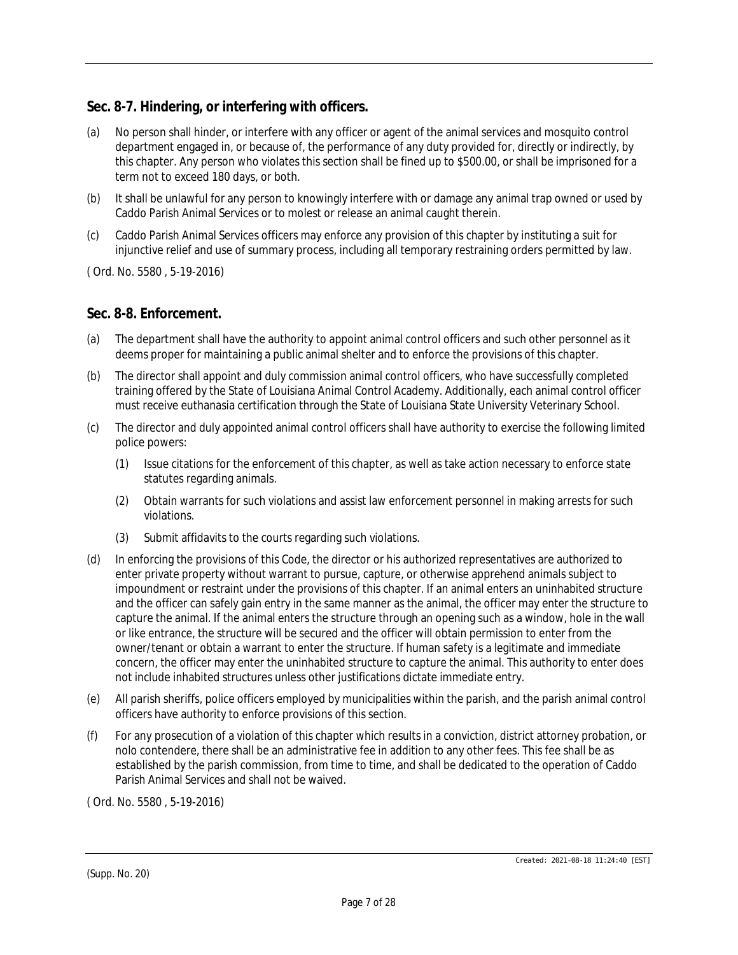# **Sec. 8-7. Hindering, or interfering with officers.**

- (a) No person shall hinder, or interfere with any officer or agent of the animal services and mosquito control department engaged in, or because of, the performance of any duty provided for, directly or indirectly, by this chapter. Any person who violates this section shall be fined up to \$500.00, or shall be imprisoned for a term not to exceed 180 days, or both.
- (b) It shall be unlawful for any person to knowingly interfere with or damage any animal trap owned or used by Caddo Parish Animal Services or to molest or release an animal caught therein.
- (c) Caddo Parish Animal Services officers may enforce any provision of this chapter by instituting a suit for injunctive relief and use of summary process, including all temporary restraining orders permitted by law.

( Ord. No. 5580 , 5-19-2016)

### **Sec. 8-8. Enforcement.**

- (a) The department shall have the authority to appoint animal control officers and such other personnel as it deems proper for maintaining a public animal shelter and to enforce the provisions of this chapter.
- (b) The director shall appoint and duly commission animal control officers, who have successfully completed training offered by the State of Louisiana Animal Control Academy. Additionally, each animal control officer must receive euthanasia certification through the State of Louisiana State University Veterinary School.
- (c) The director and duly appointed animal control officers shall have authority to exercise the following limited police powers:
	- (1) Issue citations for the enforcement of this chapter, as well as take action necessary to enforce state statutes regarding animals.
	- (2) Obtain warrants for such violations and assist law enforcement personnel in making arrests for such violations.
	- (3) Submit affidavits to the courts regarding such violations.
- (d) In enforcing the provisions of this Code, the director or his authorized representatives are authorized to enter private property without warrant to pursue, capture, or otherwise apprehend animals subject to impoundment or restraint under the provisions of this chapter. If an animal enters an uninhabited structure and the officer can safely gain entry in the same manner as the animal, the officer may enter the structure to capture the animal. If the animal enters the structure through an opening such as a window, hole in the wall or like entrance, the structure will be secured and the officer will obtain permission to enter from the owner/tenant or obtain a warrant to enter the structure. If human safety is a legitimate and immediate concern, the officer may enter the uninhabited structure to capture the animal. This authority to enter does not include inhabited structures unless other justifications dictate immediate entry.
- (e) All parish sheriffs, police officers employed by municipalities within the parish, and the parish animal control officers have authority to enforce provisions of this section.
- (f) For any prosecution of a violation of this chapter which results in a conviction, district attorney probation, or nolo contendere, there shall be an administrative fee in addition to any other fees. This fee shall be as established by the parish commission, from time to time, and shall be dedicated to the operation of Caddo Parish Animal Services and shall not be waived.

( Ord. No. 5580 , 5-19-2016)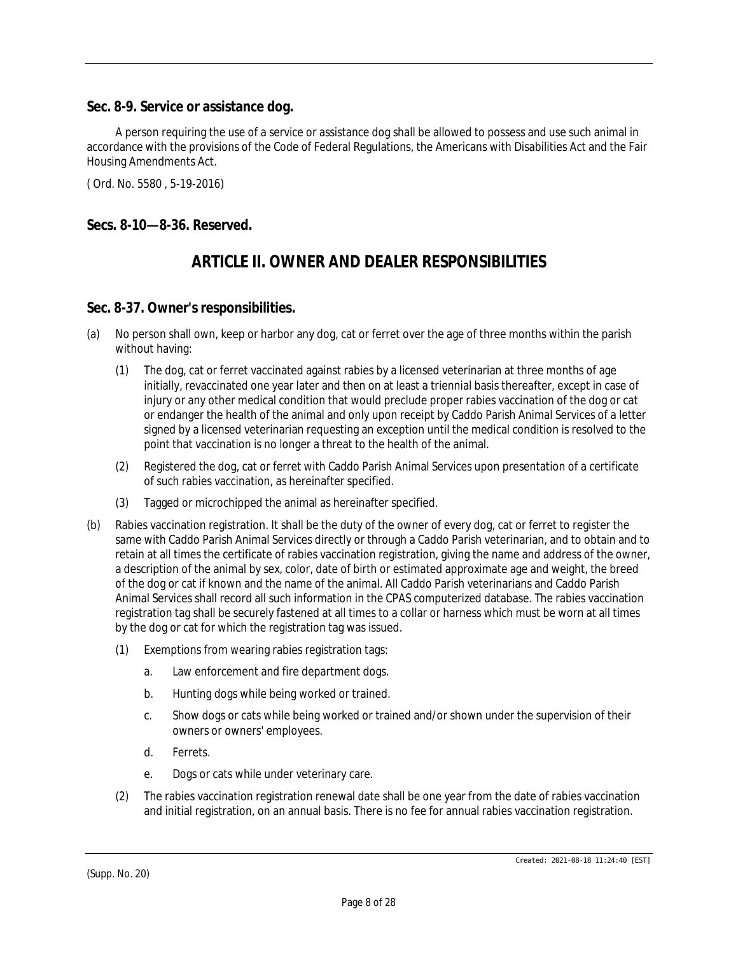### **Sec. 8-9. Service or assistance dog.**

A person requiring the use of a service or assistance dog shall be allowed to possess and use such animal in accordance with the provisions of the Code of Federal Regulations, the Americans with Disabilities Act and the Fair Housing Amendments Act.

( Ord. No. 5580 , 5-19-2016)

## **Secs. 8-10—8-36. Reserved.**

# *ARTICLE II. OWNER AND DEALER RESPONSIBILITIES*

### **Sec. 8-37. Owner's responsibilities.**

- (a) No person shall own, keep or harbor any dog, cat or ferret over the age of three months within the parish without having:
	- (1) The dog, cat or ferret vaccinated against rabies by a licensed veterinarian at three months of age initially, revaccinated one year later and then on at least a triennial basis thereafter, except in case of injury or any other medical condition that would preclude proper rabies vaccination of the dog or cat or endanger the health of the animal and only upon receipt by Caddo Parish Animal Services of a letter signed by a licensed veterinarian requesting an exception until the medical condition is resolved to the point that vaccination is no longer a threat to the health of the animal.
	- (2) Registered the dog, cat or ferret with Caddo Parish Animal Services upon presentation of a certificate of such rabies vaccination, as hereinafter specified.
	- (3) Tagged or microchipped the animal as hereinafter specified.
- (b) Rabies vaccination registration. It shall be the duty of the owner of every dog, cat or ferret to register the same with Caddo Parish Animal Services directly or through a Caddo Parish veterinarian, and to obtain and to retain at all times the certificate of rabies vaccination registration, giving the name and address of the owner, a description of the animal by sex, color, date of birth or estimated approximate age and weight, the breed of the dog or cat if known and the name of the animal. All Caddo Parish veterinarians and Caddo Parish Animal Services shall record all such information in the CPAS computerized database. The rabies vaccination registration tag shall be securely fastened at all times to a collar or harness which must be worn at all times by the dog or cat for which the registration tag was issued.
	- (1) Exemptions from wearing rabies registration tags:
		- a. Law enforcement and fire department dogs.
		- b. Hunting dogs while being worked or trained.
		- c. Show dogs or cats while being worked or trained and/or shown under the supervision of their owners or owners' employees.
		- d. Ferrets.
		- e. Dogs or cats while under veterinary care.
	- (2) The rabies vaccination registration renewal date shall be one year from the date of rabies vaccination and initial registration, on an annual basis. There is no fee for annual rabies vaccination registration.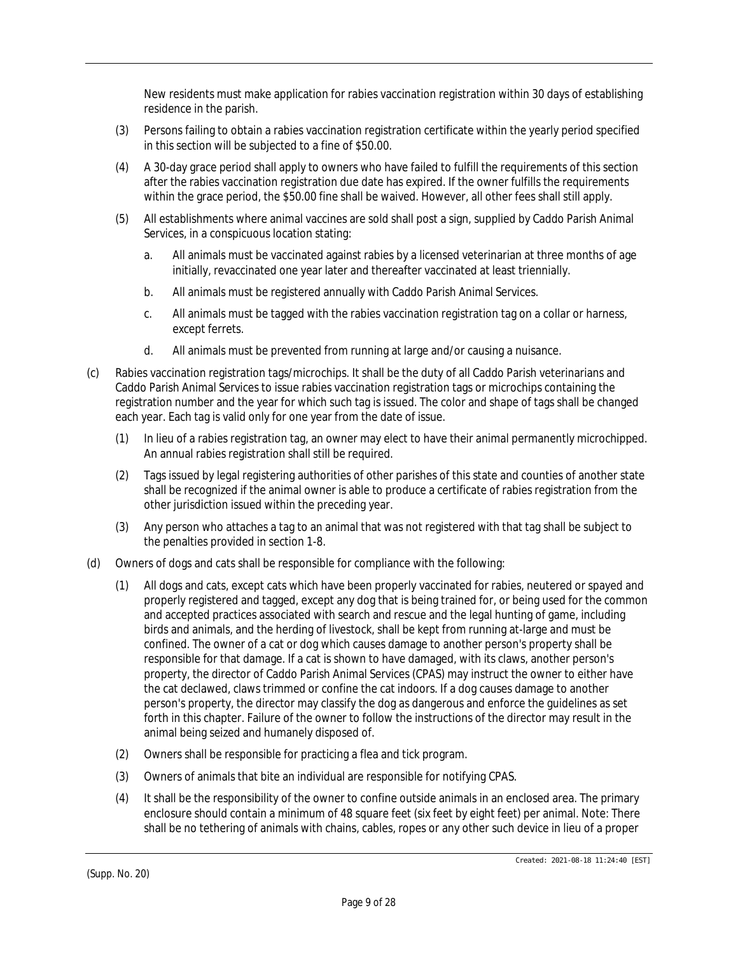New residents must make application for rabies vaccination registration within 30 days of establishing residence in the parish.

- (3) Persons failing to obtain a rabies vaccination registration certificate within the yearly period specified in this section will be subjected to a fine of \$50.00.
- (4) A 30-day grace period shall apply to owners who have failed to fulfill the requirements of this section after the rabies vaccination registration due date has expired. If the owner fulfills the requirements within the grace period, the \$50.00 fine shall be waived. However, all other fees shall still apply.
- (5) All establishments where animal vaccines are sold shall post a sign, supplied by Caddo Parish Animal Services, in a conspicuous location stating:
	- a. All animals must be vaccinated against rabies by a licensed veterinarian at three months of age initially, revaccinated one year later and thereafter vaccinated at least triennially.
	- b. All animals must be registered annually with Caddo Parish Animal Services.
	- c. All animals must be tagged with the rabies vaccination registration tag on a collar or harness, except ferrets.
	- d. All animals must be prevented from running at large and/or causing a nuisance.
- (c) Rabies vaccination registration tags/microchips. It shall be the duty of all Caddo Parish veterinarians and Caddo Parish Animal Services to issue rabies vaccination registration tags or microchips containing the registration number and the year for which such tag is issued. The color and shape of tags shall be changed each year. Each tag is valid only for one year from the date of issue.
	- (1) In lieu of a rabies registration tag, an owner may elect to have their animal permanently microchipped. An annual rabies registration shall still be required.
	- (2) Tags issued by legal registering authorities of other parishes of this state and counties of another state shall be recognized if the animal owner is able to produce a certificate of rabies registration from the other jurisdiction issued within the preceding year.
	- (3) Any person who attaches a tag to an animal that was not registered with that tag shall be subject to the penalties provided in section 1-8.
- (d) Owners of dogs and cats shall be responsible for compliance with the following:
	- (1) All dogs and cats, except cats which have been properly vaccinated for rabies, neutered or spayed and properly registered and tagged, except any dog that is being trained for, or being used for the common and accepted practices associated with search and rescue and the legal hunting of game, including birds and animals, and the herding of livestock, shall be kept from running at-large and must be confined. The owner of a cat or dog which causes damage to another person's property shall be responsible for that damage. If a cat is shown to have damaged, with its claws, another person's property, the director of Caddo Parish Animal Services (CPAS) may instruct the owner to either have the cat declawed, claws trimmed or confine the cat indoors. If a dog causes damage to another person's property, the director may classify the dog as dangerous and enforce the guidelines as set forth in this chapter. Failure of the owner to follow the instructions of the director may result in the animal being seized and humanely disposed of.
	- (2) Owners shall be responsible for practicing a flea and tick program.
	- (3) Owners of animals that bite an individual are responsible for notifying CPAS.
	- (4) It shall be the responsibility of the owner to confine outside animals in an enclosed area. The primary enclosure should contain a minimum of 48 square feet (six feet by eight feet) per animal. Note: There shall be no tethering of animals with chains, cables, ropes or any other such device in lieu of a proper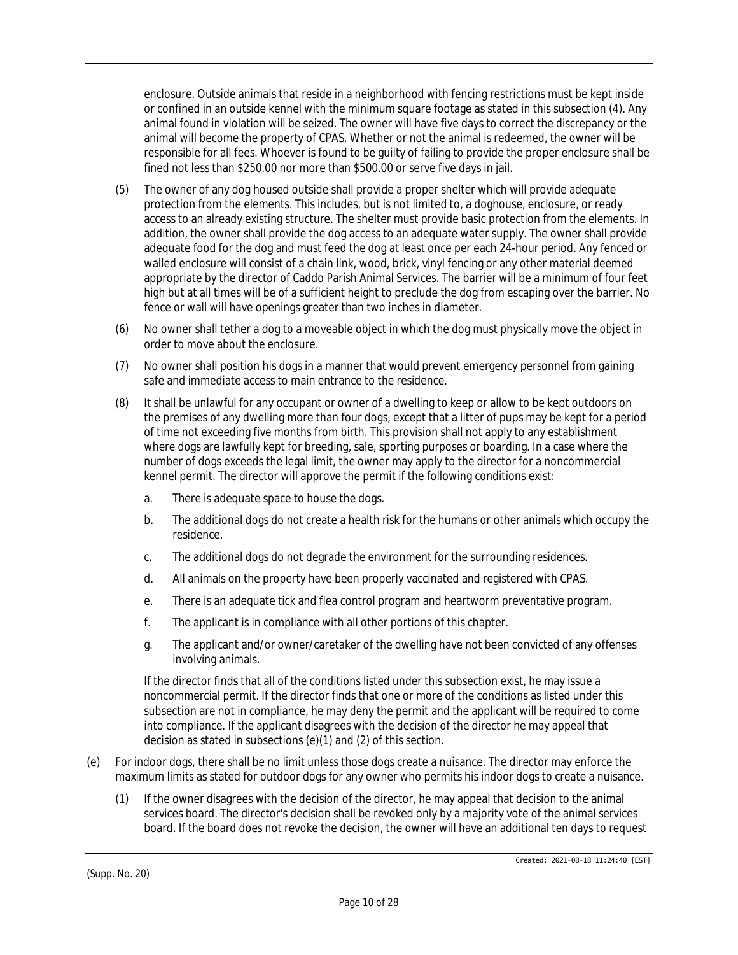enclosure. Outside animals that reside in a neighborhood with fencing restrictions must be kept inside or confined in an outside kennel with the minimum square footage as stated in this subsection (4). Any animal found in violation will be seized. The owner will have five days to correct the discrepancy or the animal will become the property of CPAS. Whether or not the animal is redeemed, the owner will be responsible for all fees. Whoever is found to be guilty of failing to provide the proper enclosure shall be fined not less than \$250.00 nor more than \$500.00 or serve five days in jail.

- (5) The owner of any dog housed outside shall provide a proper shelter which will provide adequate protection from the elements. This includes, but is not limited to, a doghouse, enclosure, or ready access to an already existing structure. The shelter must provide basic protection from the elements. In addition, the owner shall provide the dog access to an adequate water supply. The owner shall provide adequate food for the dog and must feed the dog at least once per each 24-hour period. Any fenced or walled enclosure will consist of a chain link, wood, brick, vinyl fencing or any other material deemed appropriate by the director of Caddo Parish Animal Services. The barrier will be a minimum of four feet high but at all times will be of a sufficient height to preclude the dog from escaping over the barrier. No fence or wall will have openings greater than two inches in diameter.
- (6) No owner shall tether a dog to a moveable object in which the dog must physically move the object in order to move about the enclosure.
- (7) No owner shall position his dogs in a manner that would prevent emergency personnel from gaining safe and immediate access to main entrance to the residence.
- (8) It shall be unlawful for any occupant or owner of a dwelling to keep or allow to be kept outdoors on the premises of any dwelling more than four dogs, except that a litter of pups may be kept for a period of time not exceeding five months from birth. This provision shall not apply to any establishment where dogs are lawfully kept for breeding, sale, sporting purposes or boarding. In a case where the number of dogs exceeds the legal limit, the owner may apply to the director for a noncommercial kennel permit. The director will approve the permit if the following conditions exist:
	- a. There is adequate space to house the dogs.
	- b. The additional dogs do not create a health risk for the humans or other animals which occupy the residence.
	- c. The additional dogs do not degrade the environment for the surrounding residences.
	- d. All animals on the property have been properly vaccinated and registered with CPAS.
	- e. There is an adequate tick and flea control program and heartworm preventative program.
	- f. The applicant is in compliance with all other portions of this chapter.
	- g. The applicant and/or owner/caretaker of the dwelling have not been convicted of any offenses involving animals.

If the director finds that all of the conditions listed under this subsection exist, he may issue a noncommercial permit. If the director finds that one or more of the conditions as listed under this subsection are not in compliance, he may deny the permit and the applicant will be required to come into compliance. If the applicant disagrees with the decision of the director he may appeal that decision as stated in subsections (e)(1) and (2) of this section.

- (e) For indoor dogs, there shall be no limit unless those dogs create a nuisance. The director may enforce the maximum limits as stated for outdoor dogs for any owner who permits his indoor dogs to create a nuisance.
	- (1) If the owner disagrees with the decision of the director, he may appeal that decision to the animal services board. The director's decision shall be revoked only by a majority vote of the animal services board. If the board does not revoke the decision, the owner will have an additional ten days to request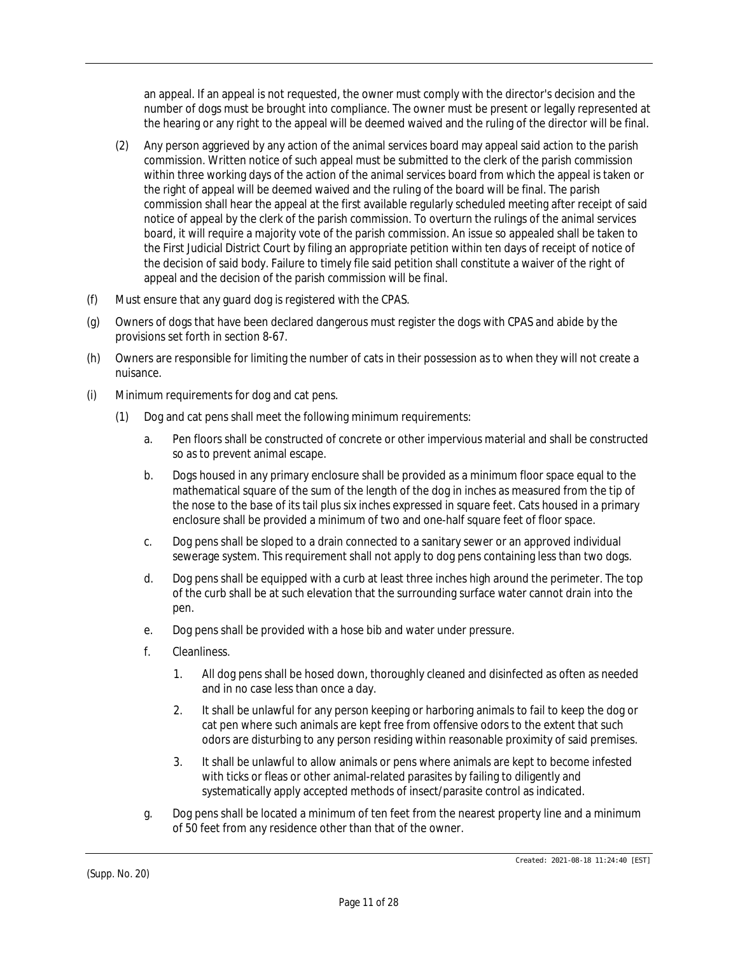an appeal. If an appeal is not requested, the owner must comply with the director's decision and the number of dogs must be brought into compliance. The owner must be present or legally represented at the hearing or any right to the appeal will be deemed waived and the ruling of the director will be final.

- (2) Any person aggrieved by any action of the animal services board may appeal said action to the parish commission. Written notice of such appeal must be submitted to the clerk of the parish commission within three working days of the action of the animal services board from which the appeal is taken or the right of appeal will be deemed waived and the ruling of the board will be final. The parish commission shall hear the appeal at the first available regularly scheduled meeting after receipt of said notice of appeal by the clerk of the parish commission. To overturn the rulings of the animal services board, it will require a majority vote of the parish commission. An issue so appealed shall be taken to the First Judicial District Court by filing an appropriate petition within ten days of receipt of notice of the decision of said body. Failure to timely file said petition shall constitute a waiver of the right of appeal and the decision of the parish commission will be final.
- (f) Must ensure that any guard dog is registered with the CPAS.
- (g) Owners of dogs that have been declared dangerous must register the dogs with CPAS and abide by the provisions set forth in section 8-67.
- (h) Owners are responsible for limiting the number of cats in their possession as to when they will not create a nuisance.
- (i) Minimum requirements for dog and cat pens.
	- (1) Dog and cat pens shall meet the following minimum requirements:
		- a. Pen floors shall be constructed of concrete or other impervious material and shall be constructed so as to prevent animal escape.
		- b. Dogs housed in any primary enclosure shall be provided as a minimum floor space equal to the mathematical square of the sum of the length of the dog in inches as measured from the tip of the nose to the base of its tail plus six inches expressed in square feet. Cats housed in a primary enclosure shall be provided a minimum of two and one-half square feet of floor space.
		- c. Dog pens shall be sloped to a drain connected to a sanitary sewer or an approved individual sewerage system. This requirement shall not apply to dog pens containing less than two dogs.
		- d. Dog pens shall be equipped with a curb at least three inches high around the perimeter. The top of the curb shall be at such elevation that the surrounding surface water cannot drain into the pen.
		- e. Dog pens shall be provided with a hose bib and water under pressure.
		- f. Cleanliness.
			- 1. All dog pens shall be hosed down, thoroughly cleaned and disinfected as often as needed and in no case less than once a day.
			- 2. It shall be unlawful for any person keeping or harboring animals to fail to keep the dog or cat pen where such animals are kept free from offensive odors to the extent that such odors are disturbing to any person residing within reasonable proximity of said premises.
			- 3. It shall be unlawful to allow animals or pens where animals are kept to become infested with ticks or fleas or other animal-related parasites by failing to diligently and systematically apply accepted methods of insect/parasite control as indicated.
		- g. Dog pens shall be located a minimum of ten feet from the nearest property line and a minimum of 50 feet from any residence other than that of the owner.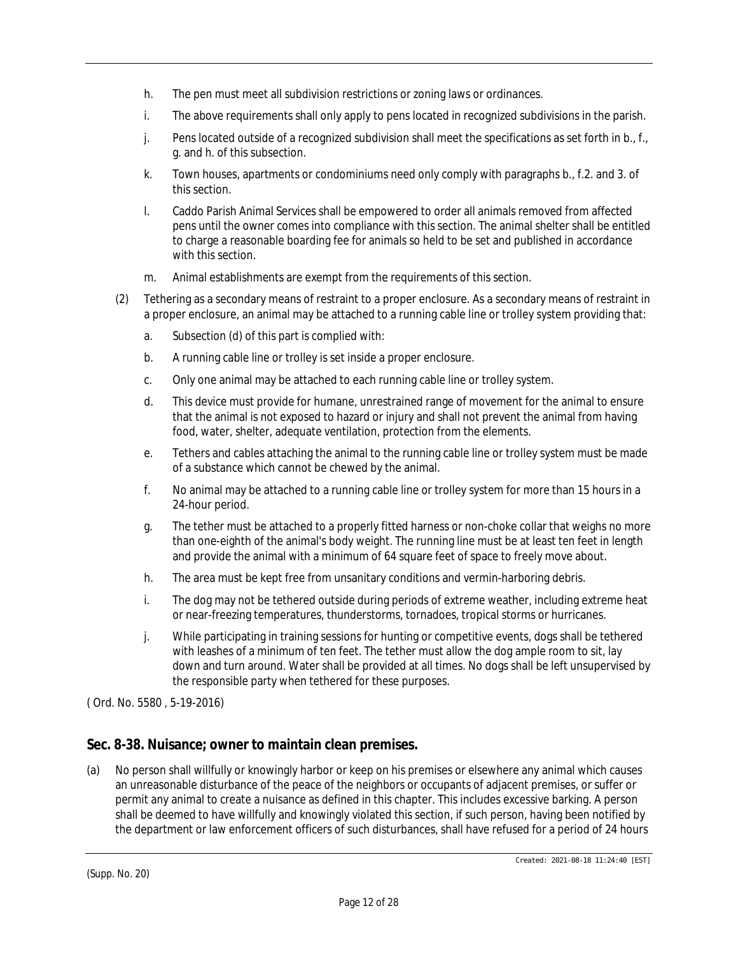- h. The pen must meet all subdivision restrictions or zoning laws or ordinances.
- i. The above requirements shall only apply to pens located in recognized subdivisions in the parish.
- j. Pens located outside of a recognized subdivision shall meet the specifications as set forth in b., f., g. and h. of this subsection.
- k. Town houses, apartments or condominiums need only comply with paragraphs b., f.2. and 3. of this section.
- l. Caddo Parish Animal Services shall be empowered to order all animals removed from affected pens until the owner comes into compliance with this section. The animal shelter shall be entitled to charge a reasonable boarding fee for animals so held to be set and published in accordance with this section.
- m. Animal establishments are exempt from the requirements of this section.
- (2) Tethering as a secondary means of restraint to a proper enclosure. As a secondary means of restraint in a proper enclosure, an animal may be attached to a running cable line or trolley system providing that:
	- a. Subsection (d) of this part is complied with:
	- b. A running cable line or trolley is set inside a proper enclosure.
	- c. Only one animal may be attached to each running cable line or trolley system.
	- d. This device must provide for humane, unrestrained range of movement for the animal to ensure that the animal is not exposed to hazard or injury and shall not prevent the animal from having food, water, shelter, adequate ventilation, protection from the elements.
	- e. Tethers and cables attaching the animal to the running cable line or trolley system must be made of a substance which cannot be chewed by the animal.
	- f. No animal may be attached to a running cable line or trolley system for more than 15 hours in a 24-hour period.
	- g. The tether must be attached to a properly fitted harness or non-choke collar that weighs no more than one-eighth of the animal's body weight. The running line must be at least ten feet in length and provide the animal with a minimum of 64 square feet of space to freely move about.
	- h. The area must be kept free from unsanitary conditions and vermin-harboring debris.
	- i. The dog may not be tethered outside during periods of extreme weather, including extreme heat or near-freezing temperatures, thunderstorms, tornadoes, tropical storms or hurricanes.
	- j. While participating in training sessions for hunting or competitive events, dogs shall be tethered with leashes of a minimum of ten feet. The tether must allow the dog ample room to sit, lay down and turn around. Water shall be provided at all times. No dogs shall be left unsupervised by the responsible party when tethered for these purposes.

# **Sec. 8-38. Nuisance; owner to maintain clean premises.**

(a) No person shall willfully or knowingly harbor or keep on his premises or elsewhere any animal which causes an unreasonable disturbance of the peace of the neighbors or occupants of adjacent premises, or suffer or permit any animal to create a nuisance as defined in this chapter. This includes excessive barking. A person shall be deemed to have willfully and knowingly violated this section, if such person, having been notified by the department or law enforcement officers of such disturbances, shall have refused for a period of 24 hours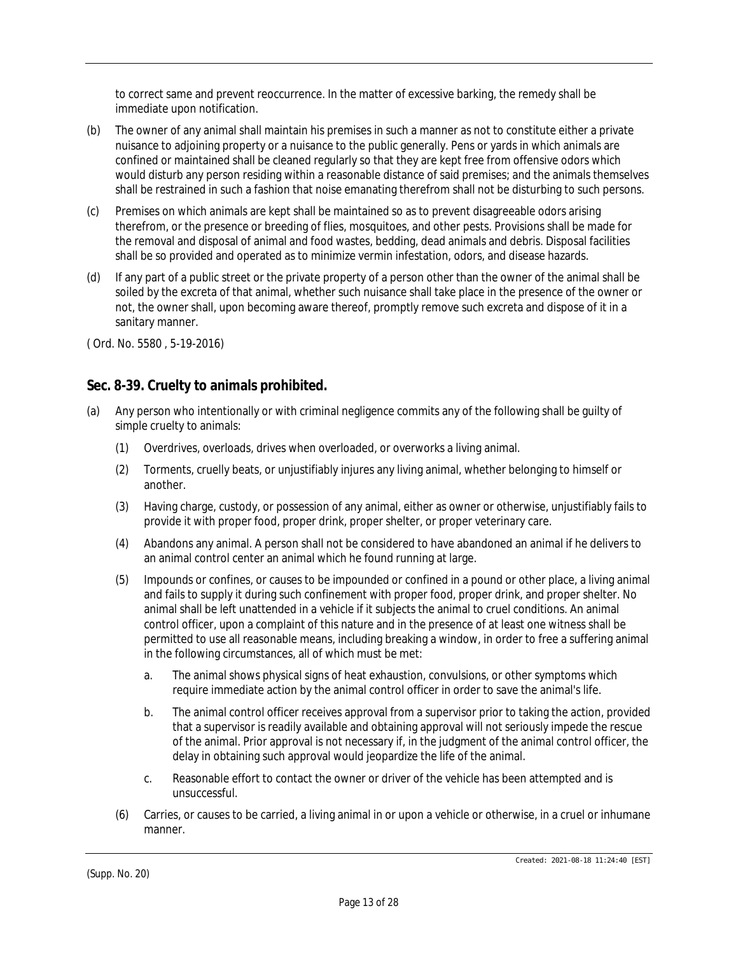to correct same and prevent reoccurrence. In the matter of excessive barking, the remedy shall be immediate upon notification.

- (b) The owner of any animal shall maintain his premises in such a manner as not to constitute either a private nuisance to adjoining property or a nuisance to the public generally. Pens or yards in which animals are confined or maintained shall be cleaned regularly so that they are kept free from offensive odors which would disturb any person residing within a reasonable distance of said premises; and the animals themselves shall be restrained in such a fashion that noise emanating therefrom shall not be disturbing to such persons.
- (c) Premises on which animals are kept shall be maintained so as to prevent disagreeable odors arising therefrom, or the presence or breeding of flies, mosquitoes, and other pests. Provisions shall be made for the removal and disposal of animal and food wastes, bedding, dead animals and debris. Disposal facilities shall be so provided and operated as to minimize vermin infestation, odors, and disease hazards.
- (d) If any part of a public street or the private property of a person other than the owner of the animal shall be soiled by the excreta of that animal, whether such nuisance shall take place in the presence of the owner or not, the owner shall, upon becoming aware thereof, promptly remove such excreta and dispose of it in a sanitary manner.

( Ord. No. 5580 , 5-19-2016)

# **Sec. 8-39. Cruelty to animals prohibited.**

- (a) Any person who intentionally or with criminal negligence commits any of the following shall be guilty of simple cruelty to animals:
	- (1) Overdrives, overloads, drives when overloaded, or overworks a living animal.
	- (2) Torments, cruelly beats, or unjustifiably injures any living animal, whether belonging to himself or another.
	- (3) Having charge, custody, or possession of any animal, either as owner or otherwise, unjustifiably fails to provide it with proper food, proper drink, proper shelter, or proper veterinary care.
	- (4) Abandons any animal. A person shall not be considered to have abandoned an animal if he delivers to an animal control center an animal which he found running at large.
	- (5) Impounds or confines, or causes to be impounded or confined in a pound or other place, a living animal and fails to supply it during such confinement with proper food, proper drink, and proper shelter. No animal shall be left unattended in a vehicle if it subjects the animal to cruel conditions. An animal control officer, upon a complaint of this nature and in the presence of at least one witness shall be permitted to use all reasonable means, including breaking a window, in order to free a suffering animal in the following circumstances, all of which must be met:
		- a. The animal shows physical signs of heat exhaustion, convulsions, or other symptoms which require immediate action by the animal control officer in order to save the animal's life.
		- b. The animal control officer receives approval from a supervisor prior to taking the action, provided that a supervisor is readily available and obtaining approval will not seriously impede the rescue of the animal. Prior approval is not necessary if, in the judgment of the animal control officer, the delay in obtaining such approval would jeopardize the life of the animal.
		- c. Reasonable effort to contact the owner or driver of the vehicle has been attempted and is unsuccessful.
	- (6) Carries, or causes to be carried, a living animal in or upon a vehicle or otherwise, in a cruel or inhumane manner.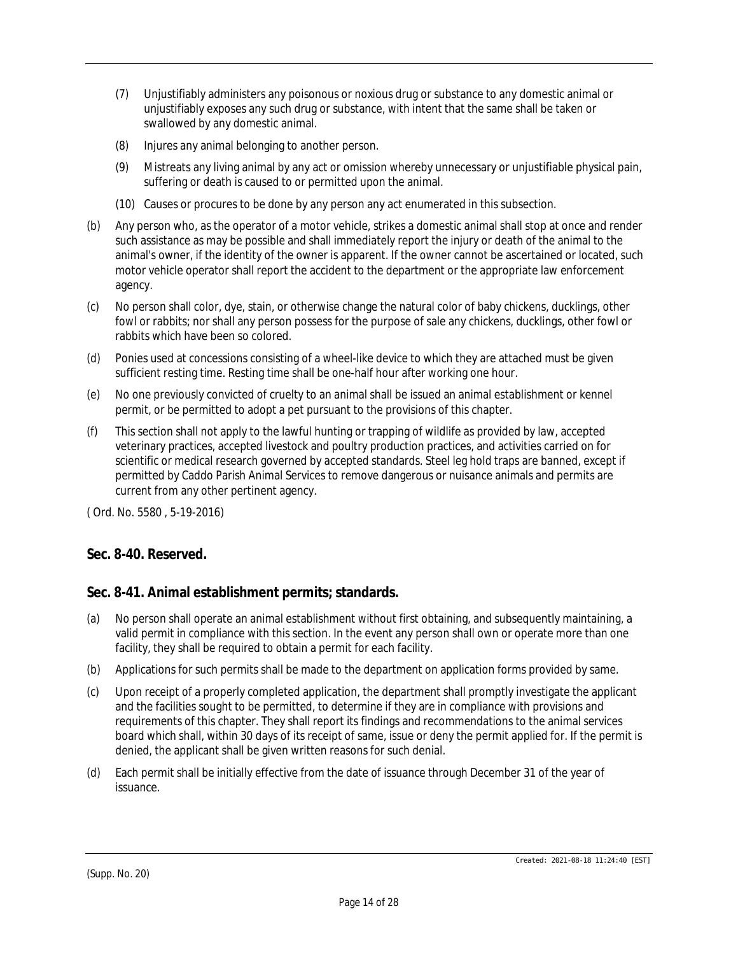- (7) Unjustifiably administers any poisonous or noxious drug or substance to any domestic animal or unjustifiably exposes any such drug or substance, with intent that the same shall be taken or swallowed by any domestic animal.
- (8) Injures any animal belonging to another person.
- (9) Mistreats any living animal by any act or omission whereby unnecessary or unjustifiable physical pain, suffering or death is caused to or permitted upon the animal.
- (10) Causes or procures to be done by any person any act enumerated in this subsection.
- (b) Any person who, as the operator of a motor vehicle, strikes a domestic animal shall stop at once and render such assistance as may be possible and shall immediately report the injury or death of the animal to the animal's owner, if the identity of the owner is apparent. If the owner cannot be ascertained or located, such motor vehicle operator shall report the accident to the department or the appropriate law enforcement agency.
- (c) No person shall color, dye, stain, or otherwise change the natural color of baby chickens, ducklings, other fowl or rabbits; nor shall any person possess for the purpose of sale any chickens, ducklings, other fowl or rabbits which have been so colored.
- (d) Ponies used at concessions consisting of a wheel-like device to which they are attached must be given sufficient resting time. Resting time shall be one-half hour after working one hour.
- (e) No one previously convicted of cruelty to an animal shall be issued an animal establishment or kennel permit, or be permitted to adopt a pet pursuant to the provisions of this chapter.
- (f) This section shall not apply to the lawful hunting or trapping of wildlife as provided by law, accepted veterinary practices, accepted livestock and poultry production practices, and activities carried on for scientific or medical research governed by accepted standards. Steel leg hold traps are banned, except if permitted by Caddo Parish Animal Services to remove dangerous or nuisance animals and permits are current from any other pertinent agency.

# **Sec. 8-40. Reserved.**

# **Sec. 8-41. Animal establishment permits; standards.**

- (a) No person shall operate an animal establishment without first obtaining, and subsequently maintaining, a valid permit in compliance with this section. In the event any person shall own or operate more than one facility, they shall be required to obtain a permit for each facility.
- (b) Applications for such permits shall be made to the department on application forms provided by same.
- (c) Upon receipt of a properly completed application, the department shall promptly investigate the applicant and the facilities sought to be permitted, to determine if they are in compliance with provisions and requirements of this chapter. They shall report its findings and recommendations to the animal services board which shall, within 30 days of its receipt of same, issue or deny the permit applied for. If the permit is denied, the applicant shall be given written reasons for such denial.
- (d) Each permit shall be initially effective from the date of issuance through December 31 of the year of issuance.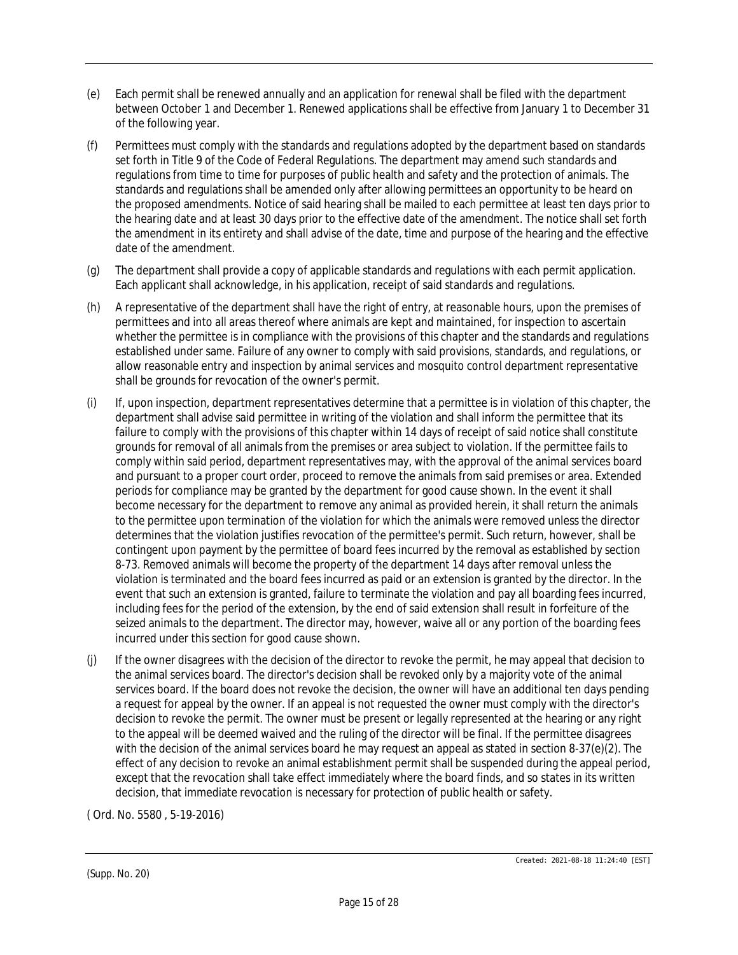- (e) Each permit shall be renewed annually and an application for renewal shall be filed with the department between October 1 and December 1. Renewed applications shall be effective from January 1 to December 31 of the following year.
- (f) Permittees must comply with the standards and regulations adopted by the department based on standards set forth in Title 9 of the Code of Federal Regulations. The department may amend such standards and regulations from time to time for purposes of public health and safety and the protection of animals. The standards and regulations shall be amended only after allowing permittees an opportunity to be heard on the proposed amendments. Notice of said hearing shall be mailed to each permittee at least ten days prior to the hearing date and at least 30 days prior to the effective date of the amendment. The notice shall set forth the amendment in its entirety and shall advise of the date, time and purpose of the hearing and the effective date of the amendment.
- (g) The department shall provide a copy of applicable standards and regulations with each permit application. Each applicant shall acknowledge, in his application, receipt of said standards and regulations.
- (h) A representative of the department shall have the right of entry, at reasonable hours, upon the premises of permittees and into all areas thereof where animals are kept and maintained, for inspection to ascertain whether the permittee is in compliance with the provisions of this chapter and the standards and regulations established under same. Failure of any owner to comply with said provisions, standards, and regulations, or allow reasonable entry and inspection by animal services and mosquito control department representative shall be grounds for revocation of the owner's permit.
- (i) If, upon inspection, department representatives determine that a permittee is in violation of this chapter, the department shall advise said permittee in writing of the violation and shall inform the permittee that its failure to comply with the provisions of this chapter within 14 days of receipt of said notice shall constitute grounds for removal of all animals from the premises or area subject to violation. If the permittee fails to comply within said period, department representatives may, with the approval of the animal services board and pursuant to a proper court order, proceed to remove the animals from said premises or area. Extended periods for compliance may be granted by the department for good cause shown. In the event it shall become necessary for the department to remove any animal as provided herein, it shall return the animals to the permittee upon termination of the violation for which the animals were removed unless the director determines that the violation justifies revocation of the permittee's permit. Such return, however, shall be contingent upon payment by the permittee of board fees incurred by the removal as established by section 8-73. Removed animals will become the property of the department 14 days after removal unless the violation is terminated and the board fees incurred as paid or an extension is granted by the director. In the event that such an extension is granted, failure to terminate the violation and pay all boarding fees incurred, including fees for the period of the extension, by the end of said extension shall result in forfeiture of the seized animals to the department. The director may, however, waive all or any portion of the boarding fees incurred under this section for good cause shown.
- (j) If the owner disagrees with the decision of the director to revoke the permit, he may appeal that decision to the animal services board. The director's decision shall be revoked only by a majority vote of the animal services board. If the board does not revoke the decision, the owner will have an additional ten days pending a request for appeal by the owner. If an appeal is not requested the owner must comply with the director's decision to revoke the permit. The owner must be present or legally represented at the hearing or any right to the appeal will be deemed waived and the ruling of the director will be final. If the permittee disagrees with the decision of the animal services board he may request an appeal as stated in section 8-37(e)(2). The effect of any decision to revoke an animal establishment permit shall be suspended during the appeal period, except that the revocation shall take effect immediately where the board finds, and so states in its written decision, that immediate revocation is necessary for protection of public health or safety.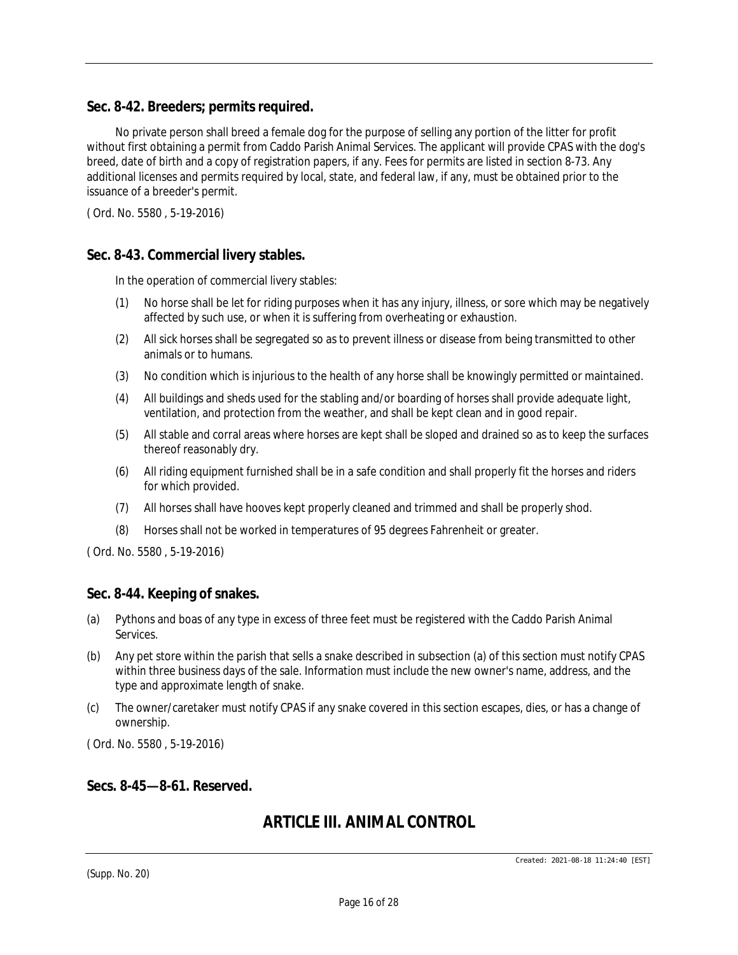### **Sec. 8-42. Breeders; permits required.**

No private person shall breed a female dog for the purpose of selling any portion of the litter for profit without first obtaining a permit from Caddo Parish Animal Services. The applicant will provide CPAS with the dog's breed, date of birth and a copy of registration papers, if any. Fees for permits are listed in section 8-73. Any additional licenses and permits required by local, state, and federal law, if any, must be obtained prior to the issuance of a breeder's permit.

( Ord. No. 5580 , 5-19-2016)

### **Sec. 8-43. Commercial livery stables.**

In the operation of commercial livery stables:

- (1) No horse shall be let for riding purposes when it has any injury, illness, or sore which may be negatively affected by such use, or when it is suffering from overheating or exhaustion.
- (2) All sick horses shall be segregated so as to prevent illness or disease from being transmitted to other animals or to humans.
- (3) No condition which is injurious to the health of any horse shall be knowingly permitted or maintained.
- (4) All buildings and sheds used for the stabling and/or boarding of horses shall provide adequate light, ventilation, and protection from the weather, and shall be kept clean and in good repair.
- (5) All stable and corral areas where horses are kept shall be sloped and drained so as to keep the surfaces thereof reasonably dry.
- (6) All riding equipment furnished shall be in a safe condition and shall properly fit the horses and riders for which provided.
- (7) All horses shall have hooves kept properly cleaned and trimmed and shall be properly shod.
- (8) Horses shall not be worked in temperatures of 95 degrees Fahrenheit or greater.

( Ord. No. 5580 , 5-19-2016)

### **Sec. 8-44. Keeping of snakes.**

- (a) Pythons and boas of any type in excess of three feet must be registered with the Caddo Parish Animal Services.
- (b) Any pet store within the parish that sells a snake described in subsection (a) of this section must notify CPAS within three business days of the sale. Information must include the new owner's name, address, and the type and approximate length of snake.
- (c) The owner/caretaker must notify CPAS if any snake covered in this section escapes, dies, or has a change of ownership.

( Ord. No. 5580 , 5-19-2016)

#### **Secs. 8-45—8-61. Reserved.**

# *ARTICLE III. ANIMAL CONTROL*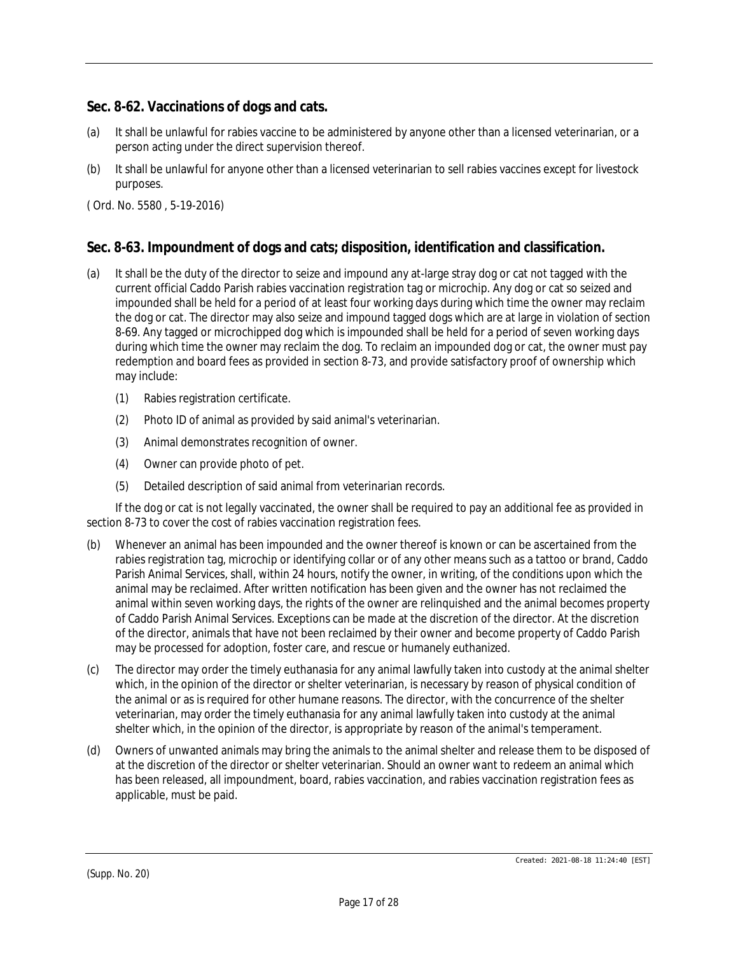# **Sec. 8-62. Vaccinations of dogs and cats.**

- (a) It shall be unlawful for rabies vaccine to be administered by anyone other than a licensed veterinarian, or a person acting under the direct supervision thereof.
- (b) It shall be unlawful for anyone other than a licensed veterinarian to sell rabies vaccines except for livestock purposes.

( Ord. No. 5580 , 5-19-2016)

## **Sec. 8-63. Impoundment of dogs and cats; disposition, identification and classification.**

- (a) It shall be the duty of the director to seize and impound any at-large stray dog or cat not tagged with the current official Caddo Parish rabies vaccination registration tag or microchip. Any dog or cat so seized and impounded shall be held for a period of at least four working days during which time the owner may reclaim the dog or cat. The director may also seize and impound tagged dogs which are at large in violation of section 8-69. Any tagged or microchipped dog which is impounded shall be held for a period of seven working days during which time the owner may reclaim the dog. To reclaim an impounded dog or cat, the owner must pay redemption and board fees as provided in section 8-73, and provide satisfactory proof of ownership which may include:
	- (1) Rabies registration certificate.
	- (2) Photo ID of animal as provided by said animal's veterinarian.
	- (3) Animal demonstrates recognition of owner.
	- (4) Owner can provide photo of pet.
	- (5) Detailed description of said animal from veterinarian records.

If the dog or cat is not legally vaccinated, the owner shall be required to pay an additional fee as provided in section 8-73 to cover the cost of rabies vaccination registration fees.

- (b) Whenever an animal has been impounded and the owner thereof is known or can be ascertained from the rabies registration tag, microchip or identifying collar or of any other means such as a tattoo or brand, Caddo Parish Animal Services, shall, within 24 hours, notify the owner, in writing, of the conditions upon which the animal may be reclaimed. After written notification has been given and the owner has not reclaimed the animal within seven working days, the rights of the owner are relinquished and the animal becomes property of Caddo Parish Animal Services. Exceptions can be made at the discretion of the director. At the discretion of the director, animals that have not been reclaimed by their owner and become property of Caddo Parish may be processed for adoption, foster care, and rescue or humanely euthanized.
- (c) The director may order the timely euthanasia for any animal lawfully taken into custody at the animal shelter which, in the opinion of the director or shelter veterinarian, is necessary by reason of physical condition of the animal or as is required for other humane reasons. The director, with the concurrence of the shelter veterinarian, may order the timely euthanasia for any animal lawfully taken into custody at the animal shelter which, in the opinion of the director, is appropriate by reason of the animal's temperament.
- (d) Owners of unwanted animals may bring the animals to the animal shelter and release them to be disposed of at the discretion of the director or shelter veterinarian. Should an owner want to redeem an animal which has been released, all impoundment, board, rabies vaccination, and rabies vaccination registration fees as applicable, must be paid.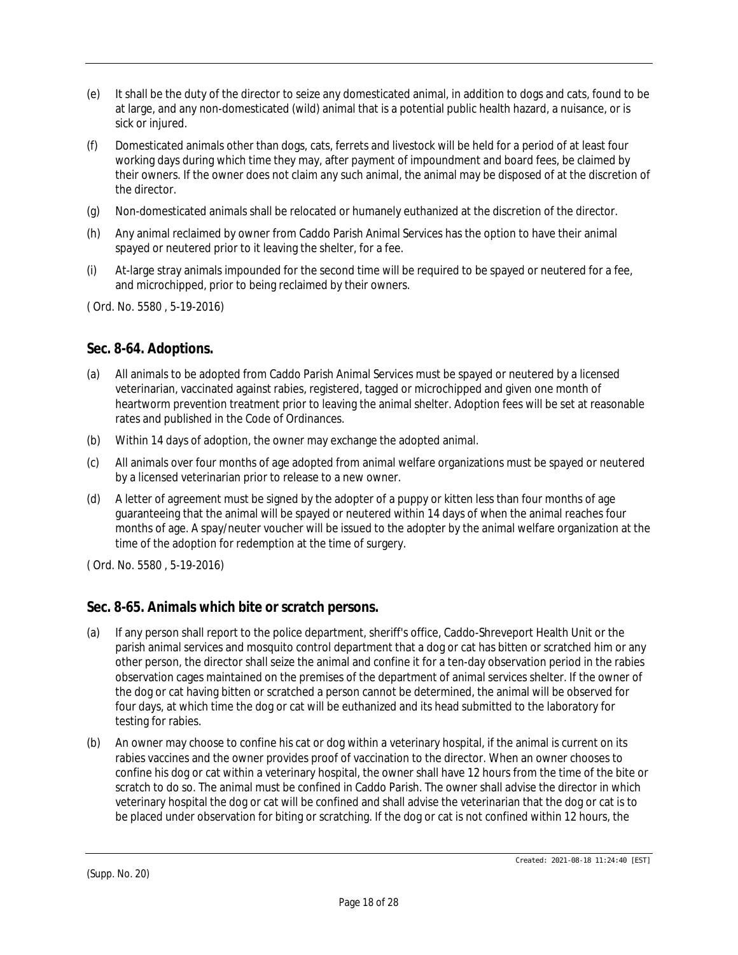- (e) It shall be the duty of the director to seize any domesticated animal, in addition to dogs and cats, found to be at large, and any non-domesticated (wild) animal that is a potential public health hazard, a nuisance, or is sick or injured.
- (f) Domesticated animals other than dogs, cats, ferrets and livestock will be held for a period of at least four working days during which time they may, after payment of impoundment and board fees, be claimed by their owners. If the owner does not claim any such animal, the animal may be disposed of at the discretion of the director.
- (g) Non-domesticated animals shall be relocated or humanely euthanized at the discretion of the director.
- (h) Any animal reclaimed by owner from Caddo Parish Animal Services has the option to have their animal spayed or neutered prior to it leaving the shelter, for a fee.
- (i) At-large stray animals impounded for the second time will be required to be spayed or neutered for a fee, and microchipped, prior to being reclaimed by their owners.

# **Sec. 8-64. Adoptions.**

- (a) All animals to be adopted from Caddo Parish Animal Services must be spayed or neutered by a licensed veterinarian, vaccinated against rabies, registered, tagged or microchipped and given one month of heartworm prevention treatment prior to leaving the animal shelter. Adoption fees will be set at reasonable rates and published in the Code of Ordinances.
- (b) Within 14 days of adoption, the owner may exchange the adopted animal.
- (c) All animals over four months of age adopted from animal welfare organizations must be spayed or neutered by a licensed veterinarian prior to release to a new owner.
- (d) A letter of agreement must be signed by the adopter of a puppy or kitten less than four months of age guaranteeing that the animal will be spayed or neutered within 14 days of when the animal reaches four months of age. A spay/neuter voucher will be issued to the adopter by the animal welfare organization at the time of the adoption for redemption at the time of surgery.

( Ord. No. 5580 , 5-19-2016)

# **Sec. 8-65. Animals which bite or scratch persons.**

- (a) If any person shall report to the police department, sheriff's office, Caddo-Shreveport Health Unit or the parish animal services and mosquito control department that a dog or cat has bitten or scratched him or any other person, the director shall seize the animal and confine it for a ten-day observation period in the rabies observation cages maintained on the premises of the department of animal services shelter. If the owner of the dog or cat having bitten or scratched a person cannot be determined, the animal will be observed for four days, at which time the dog or cat will be euthanized and its head submitted to the laboratory for testing for rabies.
- (b) An owner may choose to confine his cat or dog within a veterinary hospital, if the animal is current on its rabies vaccines and the owner provides proof of vaccination to the director. When an owner chooses to confine his dog or cat within a veterinary hospital, the owner shall have 12 hours from the time of the bite or scratch to do so. The animal must be confined in Caddo Parish. The owner shall advise the director in which veterinary hospital the dog or cat will be confined and shall advise the veterinarian that the dog or cat is to be placed under observation for biting or scratching. If the dog or cat is not confined within 12 hours, the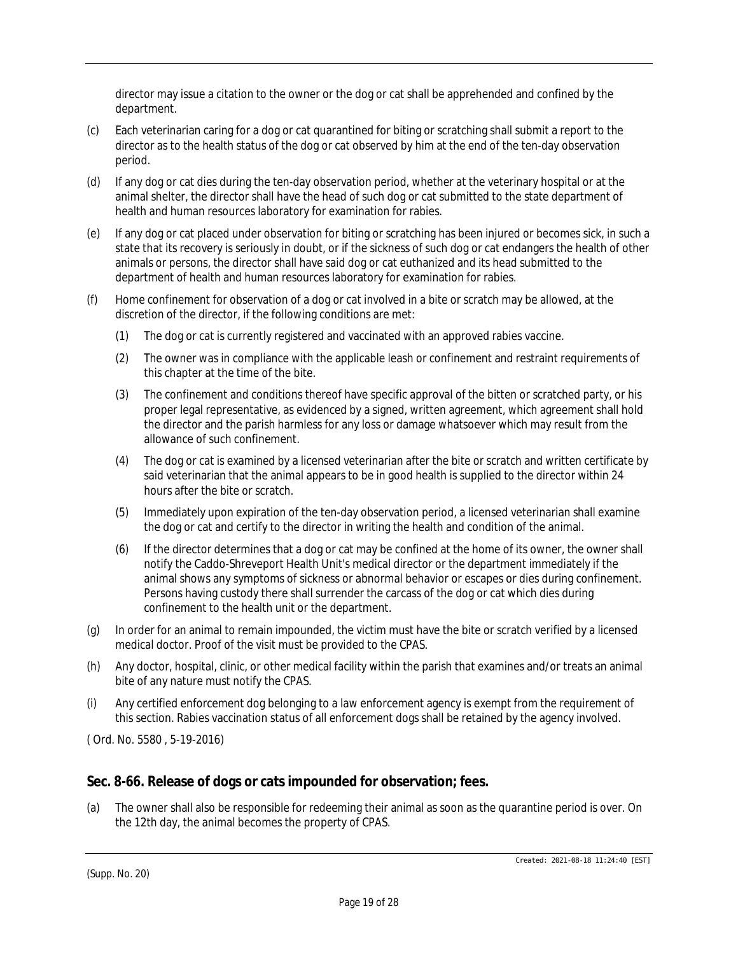director may issue a citation to the owner or the dog or cat shall be apprehended and confined by the department.

- (c) Each veterinarian caring for a dog or cat quarantined for biting or scratching shall submit a report to the director as to the health status of the dog or cat observed by him at the end of the ten-day observation period.
- (d) If any dog or cat dies during the ten-day observation period, whether at the veterinary hospital or at the animal shelter, the director shall have the head of such dog or cat submitted to the state department of health and human resources laboratory for examination for rabies.
- (e) If any dog or cat placed under observation for biting or scratching has been injured or becomes sick, in such a state that its recovery is seriously in doubt, or if the sickness of such dog or cat endangers the health of other animals or persons, the director shall have said dog or cat euthanized and its head submitted to the department of health and human resources laboratory for examination for rabies.
- (f) Home confinement for observation of a dog or cat involved in a bite or scratch may be allowed, at the discretion of the director, if the following conditions are met:
	- (1) The dog or cat is currently registered and vaccinated with an approved rabies vaccine.
	- (2) The owner was in compliance with the applicable leash or confinement and restraint requirements of this chapter at the time of the bite.
	- (3) The confinement and conditions thereof have specific approval of the bitten or scratched party, or his proper legal representative, as evidenced by a signed, written agreement, which agreement shall hold the director and the parish harmless for any loss or damage whatsoever which may result from the allowance of such confinement.
	- (4) The dog or cat is examined by a licensed veterinarian after the bite or scratch and written certificate by said veterinarian that the animal appears to be in good health is supplied to the director within 24 hours after the bite or scratch.
	- (5) Immediately upon expiration of the ten-day observation period, a licensed veterinarian shall examine the dog or cat and certify to the director in writing the health and condition of the animal.
	- (6) If the director determines that a dog or cat may be confined at the home of its owner, the owner shall notify the Caddo-Shreveport Health Unit's medical director or the department immediately if the animal shows any symptoms of sickness or abnormal behavior or escapes or dies during confinement. Persons having custody there shall surrender the carcass of the dog or cat which dies during confinement to the health unit or the department.
- (g) In order for an animal to remain impounded, the victim must have the bite or scratch verified by a licensed medical doctor. Proof of the visit must be provided to the CPAS.
- (h) Any doctor, hospital, clinic, or other medical facility within the parish that examines and/or treats an animal bite of any nature must notify the CPAS.
- (i) Any certified enforcement dog belonging to a law enforcement agency is exempt from the requirement of this section. Rabies vaccination status of all enforcement dogs shall be retained by the agency involved.

( Ord. No. 5580 , 5-19-2016)

### **Sec. 8-66. Release of dogs or cats impounded for observation; fees.**

(a) The owner shall also be responsible for redeeming their animal as soon as the quarantine period is over. On the 12th day, the animal becomes the property of CPAS.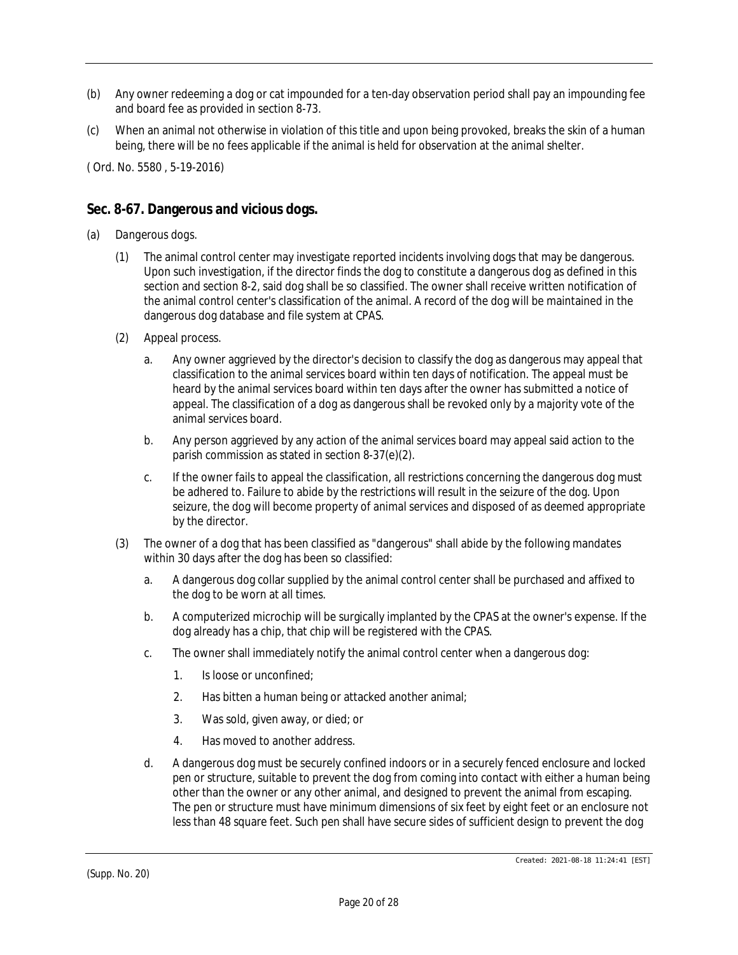- (b) Any owner redeeming a dog or cat impounded for a ten-day observation period shall pay an impounding fee and board fee as provided in section 8-73.
- (c) When an animal not otherwise in violation of this title and upon being provoked, breaks the skin of a human being, there will be no fees applicable if the animal is held for observation at the animal shelter.

## **Sec. 8-67. Dangerous and vicious dogs.**

- (a) *Dangerous dogs.*
	- (1) The animal control center may investigate reported incidents involving dogs that may be dangerous. Upon such investigation, if the director finds the dog to constitute a dangerous dog as defined in this section and section 8-2, said dog shall be so classified. The owner shall receive written notification of the animal control center's classification of the animal. A record of the dog will be maintained in the dangerous dog database and file system at CPAS.
	- (2) Appeal process.
		- a. Any owner aggrieved by the director's decision to classify the dog as dangerous may appeal that classification to the animal services board within ten days of notification. The appeal must be heard by the animal services board within ten days after the owner has submitted a notice of appeal. The classification of a dog as dangerous shall be revoked only by a majority vote of the animal services board.
		- b. Any person aggrieved by any action of the animal services board may appeal said action to the parish commission as stated in section 8-37(e)(2).
		- c. If the owner fails to appeal the classification, all restrictions concerning the dangerous dog must be adhered to. Failure to abide by the restrictions will result in the seizure of the dog. Upon seizure, the dog will become property of animal services and disposed of as deemed appropriate by the director.
	- (3) The owner of a dog that has been classified as "dangerous" shall abide by the following mandates within 30 days after the dog has been so classified:
		- a. A dangerous dog collar supplied by the animal control center shall be purchased and affixed to the dog to be worn at all times.
		- b. A computerized microchip will be surgically implanted by the CPAS at the owner's expense. If the dog already has a chip, that chip will be registered with the CPAS.
		- c. The owner shall immediately notify the animal control center when a dangerous dog:
			- 1. Is loose or unconfined;
			- 2. Has bitten a human being or attacked another animal;
			- 3. Was sold, given away, or died; or
			- 4. Has moved to another address.
		- d. A dangerous dog must be securely confined indoors or in a securely fenced enclosure and locked pen or structure, suitable to prevent the dog from coming into contact with either a human being other than the owner or any other animal, and designed to prevent the animal from escaping. The pen or structure must have minimum dimensions of six feet by eight feet or an enclosure not less than 48 square feet. Such pen shall have secure sides of sufficient design to prevent the dog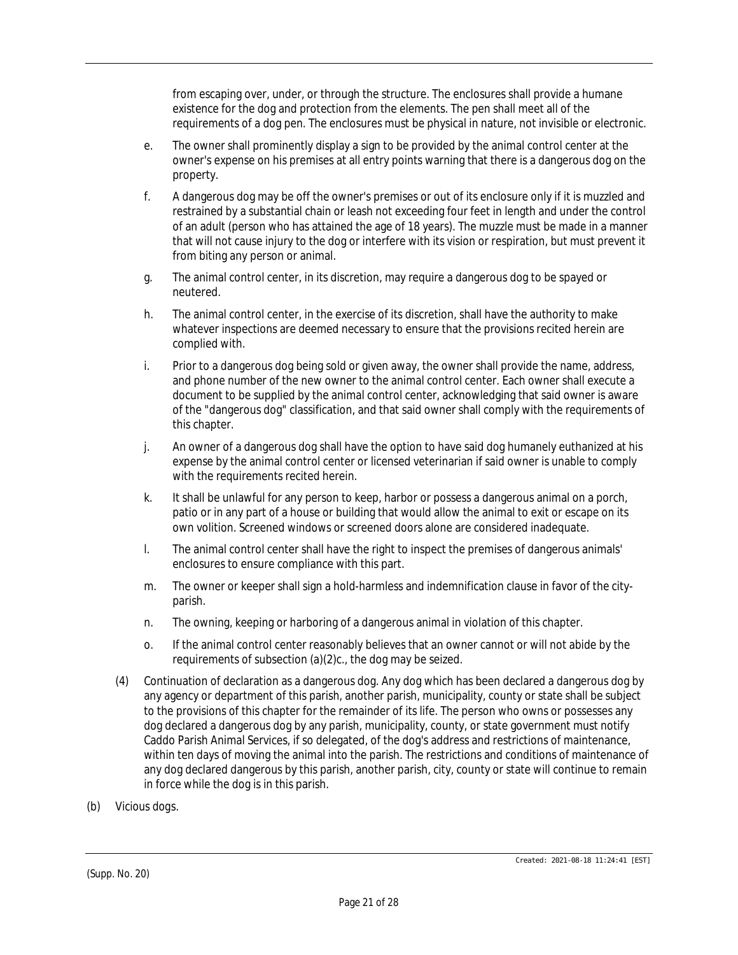from escaping over, under, or through the structure. The enclosures shall provide a humane existence for the dog and protection from the elements. The pen shall meet all of the requirements of a dog pen. The enclosures must be physical in nature, not invisible or electronic.

- e. The owner shall prominently display a sign to be provided by the animal control center at the owner's expense on his premises at all entry points warning that there is a dangerous dog on the property.
- f. A dangerous dog may be off the owner's premises or out of its enclosure only if it is muzzled and restrained by a substantial chain or leash not exceeding four feet in length and under the control of an adult (person who has attained the age of 18 years). The muzzle must be made in a manner that will not cause injury to the dog or interfere with its vision or respiration, but must prevent it from biting any person or animal.
- g. The animal control center, in its discretion, may require a dangerous dog to be spayed or neutered.
- h. The animal control center, in the exercise of its discretion, shall have the authority to make whatever inspections are deemed necessary to ensure that the provisions recited herein are complied with.
- i. Prior to a dangerous dog being sold or given away, the owner shall provide the name, address, and phone number of the new owner to the animal control center. Each owner shall execute a document to be supplied by the animal control center, acknowledging that said owner is aware of the "dangerous dog" classification, and that said owner shall comply with the requirements of this chapter.
- j. An owner of a dangerous dog shall have the option to have said dog humanely euthanized at his expense by the animal control center or licensed veterinarian if said owner is unable to comply with the requirements recited herein.
- k. It shall be unlawful for any person to keep, harbor or possess a dangerous animal on a porch, patio or in any part of a house or building that would allow the animal to exit or escape on its own volition. Screened windows or screened doors alone are considered inadequate.
- l. The animal control center shall have the right to inspect the premises of dangerous animals' enclosures to ensure compliance with this part.
- m. The owner or keeper shall sign a hold-harmless and indemnification clause in favor of the cityparish.
- n. The owning, keeping or harboring of a dangerous animal in violation of this chapter.
- o. If the animal control center reasonably believes that an owner cannot or will not abide by the requirements of subsection (a)(2)c., the dog may be seized.
- (4) Continuation of declaration as a dangerous dog. Any dog which has been declared a dangerous dog by any agency or department of this parish, another parish, municipality, county or state shall be subject to the provisions of this chapter for the remainder of its life. The person who owns or possesses any dog declared a dangerous dog by any parish, municipality, county, or state government must notify Caddo Parish Animal Services, if so delegated, of the dog's address and restrictions of maintenance, within ten days of moving the animal into the parish. The restrictions and conditions of maintenance of any dog declared dangerous by this parish, another parish, city, county or state will continue to remain in force while the dog is in this parish.
- (b) *Vicious dogs.*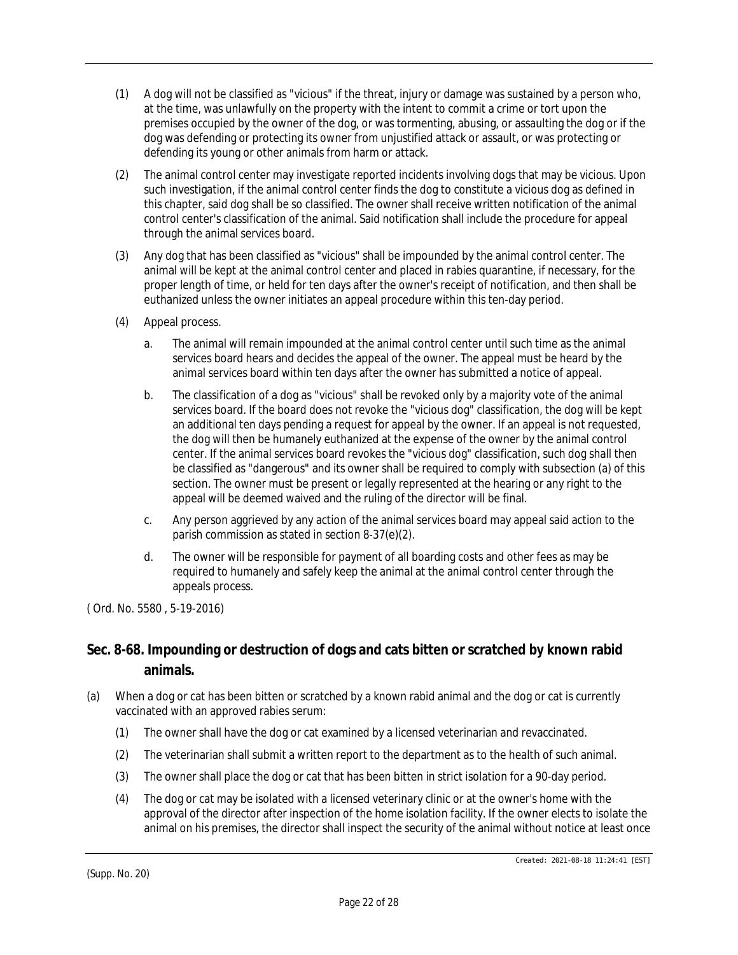- (1) A dog will not be classified as "vicious" if the threat, injury or damage was sustained by a person who, at the time, was unlawfully on the property with the intent to commit a crime or tort upon the premises occupied by the owner of the dog, or was tormenting, abusing, or assaulting the dog or if the dog was defending or protecting its owner from unjustified attack or assault, or was protecting or defending its young or other animals from harm or attack.
- (2) The animal control center may investigate reported incidents involving dogs that may be vicious. Upon such investigation, if the animal control center finds the dog to constitute a vicious dog as defined in this chapter, said dog shall be so classified. The owner shall receive written notification of the animal control center's classification of the animal. Said notification shall include the procedure for appeal through the animal services board.
- (3) Any dog that has been classified as "vicious" shall be impounded by the animal control center. The animal will be kept at the animal control center and placed in rabies quarantine, if necessary, for the proper length of time, or held for ten days after the owner's receipt of notification, and then shall be euthanized unless the owner initiates an appeal procedure within this ten-day period.
- (4) Appeal process.
	- a. The animal will remain impounded at the animal control center until such time as the animal services board hears and decides the appeal of the owner. The appeal must be heard by the animal services board within ten days after the owner has submitted a notice of appeal.
	- b. The classification of a dog as "vicious" shall be revoked only by a majority vote of the animal services board. If the board does not revoke the "vicious dog" classification, the dog will be kept an additional ten days pending a request for appeal by the owner. If an appeal is not requested, the dog will then be humanely euthanized at the expense of the owner by the animal control center. If the animal services board revokes the "vicious dog" classification, such dog shall then be classified as "dangerous" and its owner shall be required to comply with subsection (a) of this section. The owner must be present or legally represented at the hearing or any right to the appeal will be deemed waived and the ruling of the director will be final.
	- c. Any person aggrieved by any action of the animal services board may appeal said action to the parish commission as stated in section 8-37(e)(2).
	- d. The owner will be responsible for payment of all boarding costs and other fees as may be required to humanely and safely keep the animal at the animal control center through the appeals process.

# **Sec. 8-68. Impounding or destruction of dogs and cats bitten or scratched by known rabid animals.**

- (a) When a dog or cat has been bitten or scratched by a known rabid animal and the dog or cat is currently vaccinated with an approved rabies serum:
	- (1) The owner shall have the dog or cat examined by a licensed veterinarian and revaccinated.
	- (2) The veterinarian shall submit a written report to the department as to the health of such animal.
	- (3) The owner shall place the dog or cat that has been bitten in strict isolation for a 90-day period.
	- (4) The dog or cat may be isolated with a licensed veterinary clinic or at the owner's home with the approval of the director after inspection of the home isolation facility. If the owner elects to isolate the animal on his premises, the director shall inspect the security of the animal without notice at least once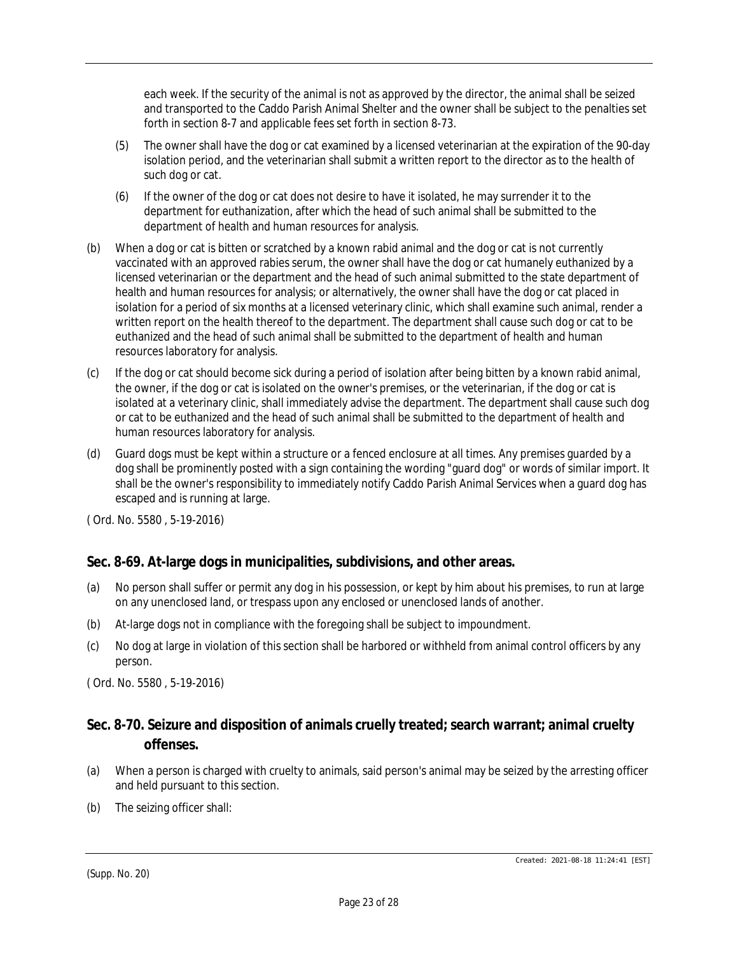each week. If the security of the animal is not as approved by the director, the animal shall be seized and transported to the Caddo Parish Animal Shelter and the owner shall be subject to the penalties set forth in section 8-7 and applicable fees set forth in section 8-73.

- (5) The owner shall have the dog or cat examined by a licensed veterinarian at the expiration of the 90-day isolation period, and the veterinarian shall submit a written report to the director as to the health of such dog or cat.
- (6) If the owner of the dog or cat does not desire to have it isolated, he may surrender it to the department for euthanization, after which the head of such animal shall be submitted to the department of health and human resources for analysis.
- (b) When a dog or cat is bitten or scratched by a known rabid animal and the dog or cat is not currently vaccinated with an approved rabies serum, the owner shall have the dog or cat humanely euthanized by a licensed veterinarian or the department and the head of such animal submitted to the state department of health and human resources for analysis; or alternatively, the owner shall have the dog or cat placed in isolation for a period of six months at a licensed veterinary clinic, which shall examine such animal, render a written report on the health thereof to the department. The department shall cause such dog or cat to be euthanized and the head of such animal shall be submitted to the department of health and human resources laboratory for analysis.
- (c) If the dog or cat should become sick during a period of isolation after being bitten by a known rabid animal, the owner, if the dog or cat is isolated on the owner's premises, or the veterinarian, if the dog or cat is isolated at a veterinary clinic, shall immediately advise the department. The department shall cause such dog or cat to be euthanized and the head of such animal shall be submitted to the department of health and human resources laboratory for analysis.
- (d) Guard dogs must be kept within a structure or a fenced enclosure at all times. Any premises guarded by a dog shall be prominently posted with a sign containing the wording "guard dog" or words of similar import. It shall be the owner's responsibility to immediately notify Caddo Parish Animal Services when a guard dog has escaped and is running at large.

( Ord. No. 5580 , 5-19-2016)

# **Sec. 8-69. At-large dogs in municipalities, subdivisions, and other areas.**

- (a) No person shall suffer or permit any dog in his possession, or kept by him about his premises, to run at large on any unenclosed land, or trespass upon any enclosed or unenclosed lands of another.
- (b) At-large dogs not in compliance with the foregoing shall be subject to impoundment.
- (c) No dog at large in violation of this section shall be harbored or withheld from animal control officers by any person.

( Ord. No. 5580 , 5-19-2016)

# **Sec. 8-70. Seizure and disposition of animals cruelly treated; search warrant; animal cruelty offenses.**

- (a) When a person is charged with cruelty to animals, said person's animal may be seized by the arresting officer and held pursuant to this section.
- (b) The seizing officer shall: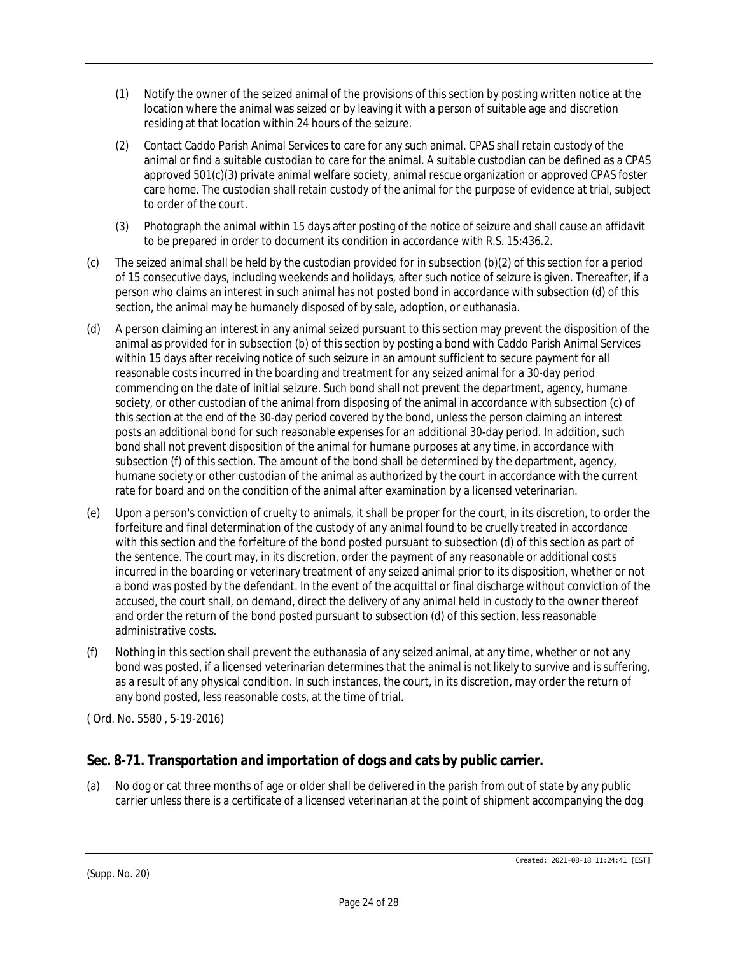- (1) Notify the owner of the seized animal of the provisions of this section by posting written notice at the location where the animal was seized or by leaving it with a person of suitable age and discretion residing at that location within 24 hours of the seizure.
- (2) Contact Caddo Parish Animal Services to care for any such animal. CPAS shall retain custody of the animal or find a suitable custodian to care for the animal. A suitable custodian can be defined as a CPAS approved 501(c)(3) private animal welfare society, animal rescue organization or approved CPAS foster care home. The custodian shall retain custody of the animal for the purpose of evidence at trial, subject to order of the court.
- (3) Photograph the animal within 15 days after posting of the notice of seizure and shall cause an affidavit to be prepared in order to document its condition in accordance with R.S. 15:436.2.
- (c) The seized animal shall be held by the custodian provided for in subsection (b)(2) of this section for a period of 15 consecutive days, including weekends and holidays, after such notice of seizure is given. Thereafter, if a person who claims an interest in such animal has not posted bond in accordance with subsection (d) of this section, the animal may be humanely disposed of by sale, adoption, or euthanasia.
- (d) A person claiming an interest in any animal seized pursuant to this section may prevent the disposition of the animal as provided for in subsection (b) of this section by posting a bond with Caddo Parish Animal Services within 15 days after receiving notice of such seizure in an amount sufficient to secure payment for all reasonable costs incurred in the boarding and treatment for any seized animal for a 30-day period commencing on the date of initial seizure. Such bond shall not prevent the department, agency, humane society, or other custodian of the animal from disposing of the animal in accordance with subsection (c) of this section at the end of the 30-day period covered by the bond, unless the person claiming an interest posts an additional bond for such reasonable expenses for an additional 30-day period. In addition, such bond shall not prevent disposition of the animal for humane purposes at any time, in accordance with subsection (f) of this section. The amount of the bond shall be determined by the department, agency, humane society or other custodian of the animal as authorized by the court in accordance with the current rate for board and on the condition of the animal after examination by a licensed veterinarian.
- (e) Upon a person's conviction of cruelty to animals, it shall be proper for the court, in its discretion, to order the forfeiture and final determination of the custody of any animal found to be cruelly treated in accordance with this section and the forfeiture of the bond posted pursuant to subsection (d) of this section as part of the sentence. The court may, in its discretion, order the payment of any reasonable or additional costs incurred in the boarding or veterinary treatment of any seized animal prior to its disposition, whether or not a bond was posted by the defendant. In the event of the acquittal or final discharge without conviction of the accused, the court shall, on demand, direct the delivery of any animal held in custody to the owner thereof and order the return of the bond posted pursuant to subsection (d) of this section, less reasonable administrative costs.
- (f) Nothing in this section shall prevent the euthanasia of any seized animal, at any time, whether or not any bond was posted, if a licensed veterinarian determines that the animal is not likely to survive and is suffering, as a result of any physical condition. In such instances, the court, in its discretion, may order the return of any bond posted, less reasonable costs, at the time of trial.

# **Sec. 8-71. Transportation and importation of dogs and cats by public carrier.**

(a) No dog or cat three months of age or older shall be delivered in the parish from out of state by any public carrier unless there is a certificate of a licensed veterinarian at the point of shipment accompanying the dog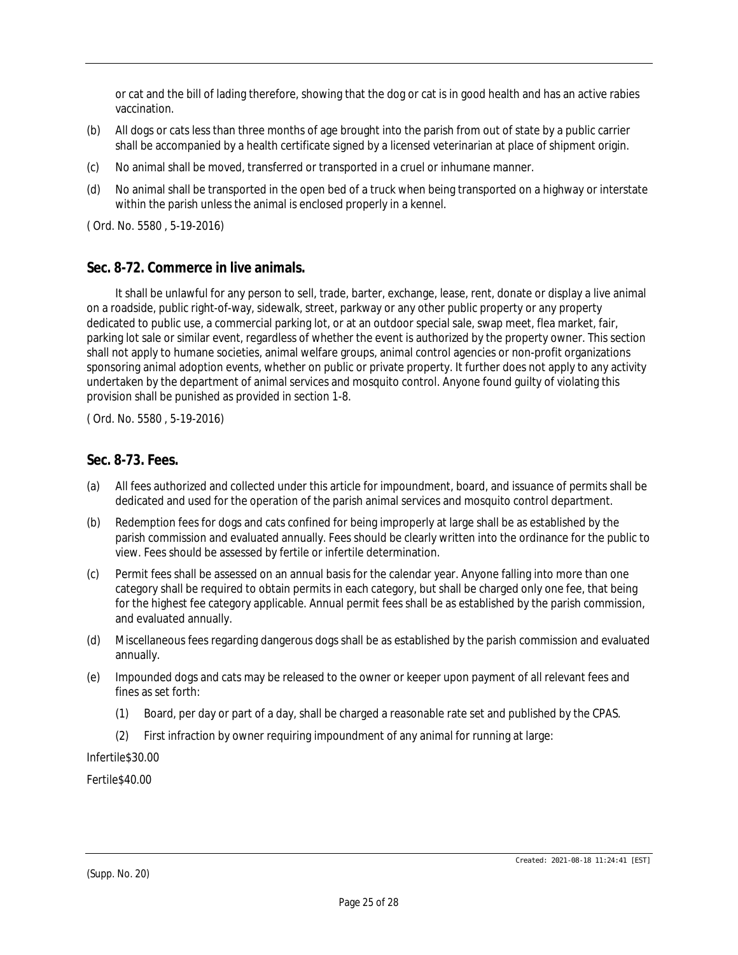or cat and the bill of lading therefore, showing that the dog or cat is in good health and has an active rabies vaccination.

- (b) All dogs or cats less than three months of age brought into the parish from out of state by a public carrier shall be accompanied by a health certificate signed by a licensed veterinarian at place of shipment origin.
- (c) No animal shall be moved, transferred or transported in a cruel or inhumane manner.
- (d) No animal shall be transported in the open bed of a truck when being transported on a highway or interstate within the parish unless the animal is enclosed properly in a kennel.

( Ord. No. 5580 , 5-19-2016)

### **Sec. 8-72. Commerce in live animals.**

It shall be unlawful for any person to sell, trade, barter, exchange, lease, rent, donate or display a live animal on a roadside, public right-of-way, sidewalk, street, parkway or any other public property or any property dedicated to public use, a commercial parking lot, or at an outdoor special sale, swap meet, flea market, fair, parking lot sale or similar event, regardless of whether the event is authorized by the property owner. This section shall not apply to humane societies, animal welfare groups, animal control agencies or non-profit organizations sponsoring animal adoption events, whether on public or private property. It further does not apply to any activity undertaken by the department of animal services and mosquito control. Anyone found guilty of violating this provision shall be punished as provided in section 1-8.

( Ord. No. 5580 , 5-19-2016)

#### **Sec. 8-73. Fees.**

- (a) All fees authorized and collected under this article for impoundment, board, and issuance of permits shall be dedicated and used for the operation of the parish animal services and mosquito control department.
- (b) Redemption fees for dogs and cats confined for being improperly at large shall be as established by the parish commission and evaluated annually. Fees should be clearly written into the ordinance for the public to view. Fees should be assessed by fertile or infertile determination.
- (c) Permit fees shall be assessed on an annual basis for the calendar year. Anyone falling into more than one category shall be required to obtain permits in each category, but shall be charged only one fee, that being for the highest fee category applicable. Annual permit fees shall be as established by the parish commission, and evaluated annually.
- (d) Miscellaneous fees regarding dangerous dogs shall be as established by the parish commission and evaluated annually.
- (e) Impounded dogs and cats may be released to the owner or keeper upon payment of all relevant fees and fines as set forth:
	- (1) Board, per day or part of a day, shall be charged a reasonable rate set and published by the CPAS.
	- (2) First infraction by owner requiring impoundment of any animal for running at large:

Infertile\$30.00

Fertile\$40.00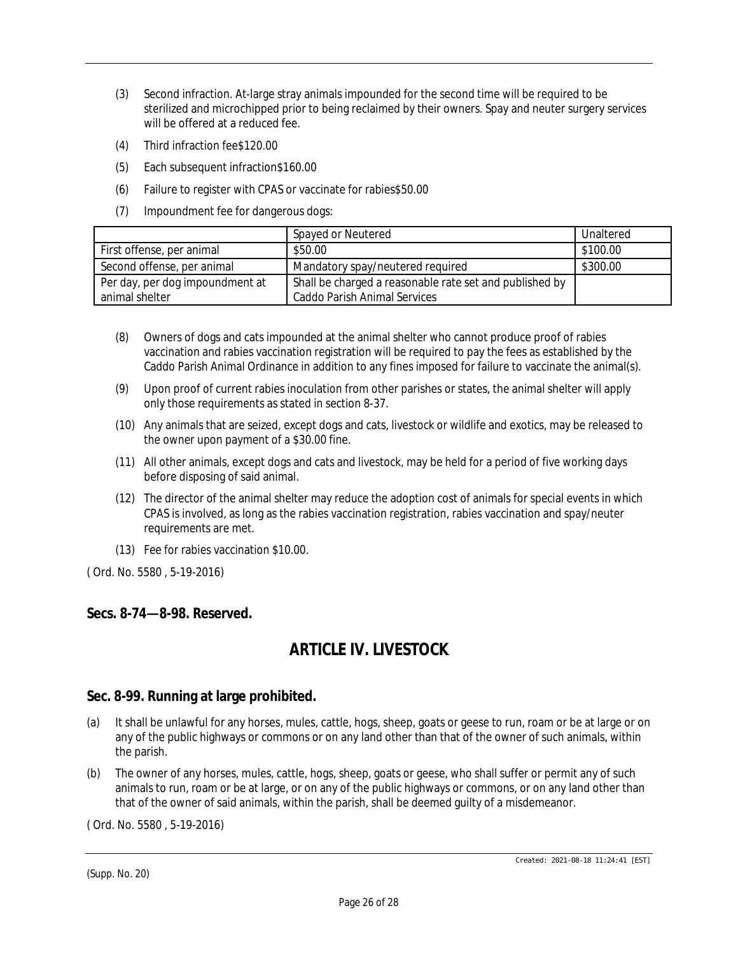- (3) Second infraction. At-large stray animals impounded for the second time will be required to be sterilized and microchipped prior to being reclaimed by their owners. Spay and neuter surgery services will be offered at a reduced fee.
- (4) Third infraction fee\$120.00
- (5) Each subsequent infraction\$160.00
- (6) Failure to register with CPAS or vaccinate for rabies\$50.00
- (7) Impoundment fee for dangerous dogs:

|                                                   | Spayed or Neutered                                                                             | Unaltered |
|---------------------------------------------------|------------------------------------------------------------------------------------------------|-----------|
| First offense, per animal                         | \$50.00                                                                                        | \$100.00  |
| Second offense, per animal                        | Mandatory spay/neutered required                                                               | \$300.00  |
| Per day, per dog impoundment at<br>animal shelter | Shall be charged a reasonable rate set and published by<br><b>Caddo Parish Animal Services</b> |           |

- (8) Owners of dogs and cats impounded at the animal shelter who cannot produce proof of rabies vaccination and rabies vaccination registration will be required to pay the fees as established by the Caddo Parish Animal Ordinance in addition to any fines imposed for failure to vaccinate the animal(s).
- (9) Upon proof of current rabies inoculation from other parishes or states, the animal shelter will apply only those requirements as stated in section 8-37.
- (10) Any animals that are seized, except dogs and cats, livestock or wildlife and exotics, may be released to the owner upon payment of a \$30.00 fine.
- (11) All other animals, except dogs and cats and livestock, may be held for a period of five working days before disposing of said animal.
- (12) The director of the animal shelter may reduce the adoption cost of animals for special events in which CPAS is involved, as long as the rabies vaccination registration, rabies vaccination and spay/neuter requirements are met.
- (13) Fee for rabies vaccination \$10.00.

### **Secs. 8-74—8-98. Reserved.**

# *ARTICLE IV. LIVESTOCK*

#### **Sec. 8-99. Running at large prohibited.**

- (a) It shall be unlawful for any horses, mules, cattle, hogs, sheep, goats or geese to run, roam or be at large or on any of the public highways or commons or on any land other than that of the owner of such animals, within the parish.
- (b) The owner of any horses, mules, cattle, hogs, sheep, goats or geese, who shall suffer or permit any of such animals to run, roam or be at large, or on any of the public highways or commons, or on any land other than that of the owner of said animals, within the parish, shall be deemed guilty of a misdemeanor.

( Ord. No. 5580 , 5-19-2016)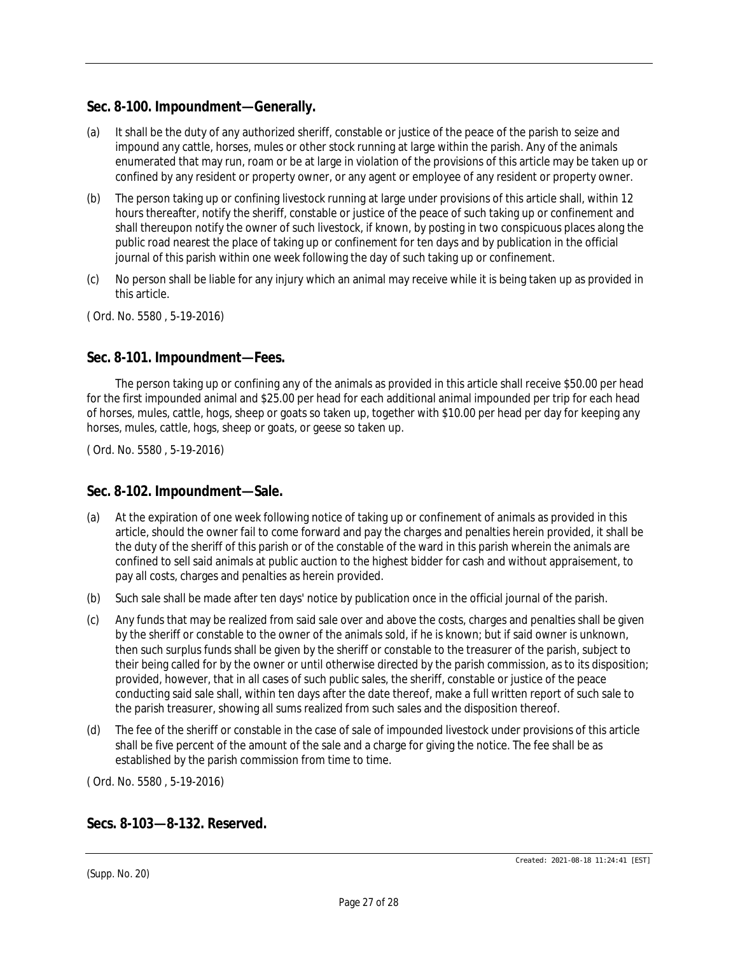## **Sec. 8-100. Impoundment—Generally.**

- (a) It shall be the duty of any authorized sheriff, constable or justice of the peace of the parish to seize and impound any cattle, horses, mules or other stock running at large within the parish. Any of the animals enumerated that may run, roam or be at large in violation of the provisions of this article may be taken up or confined by any resident or property owner, or any agent or employee of any resident or property owner.
- (b) The person taking up or confining livestock running at large under provisions of this article shall, within 12 hours thereafter, notify the sheriff, constable or justice of the peace of such taking up or confinement and shall thereupon notify the owner of such livestock, if known, by posting in two conspicuous places along the public road nearest the place of taking up or confinement for ten days and by publication in the official journal of this parish within one week following the day of such taking up or confinement.
- (c) No person shall be liable for any injury which an animal may receive while it is being taken up as provided in this article.

( Ord. No. 5580 , 5-19-2016)

### **Sec. 8-101. Impoundment—Fees.**

The person taking up or confining any of the animals as provided in this article shall receive \$50.00 per head for the first impounded animal and \$25.00 per head for each additional animal impounded per trip for each head of horses, mules, cattle, hogs, sheep or goats so taken up, together with \$10.00 per head per day for keeping any horses, mules, cattle, hogs, sheep or goats, or geese so taken up.

( Ord. No. 5580 , 5-19-2016)

### **Sec. 8-102. Impoundment—Sale.**

- (a) At the expiration of one week following notice of taking up or confinement of animals as provided in this article, should the owner fail to come forward and pay the charges and penalties herein provided, it shall be the duty of the sheriff of this parish or of the constable of the ward in this parish wherein the animals are confined to sell said animals at public auction to the highest bidder for cash and without appraisement, to pay all costs, charges and penalties as herein provided.
- (b) Such sale shall be made after ten days' notice by publication once in the official journal of the parish.
- (c) Any funds that may be realized from said sale over and above the costs, charges and penalties shall be given by the sheriff or constable to the owner of the animals sold, if he is known; but if said owner is unknown, then such surplus funds shall be given by the sheriff or constable to the treasurer of the parish, subject to their being called for by the owner or until otherwise directed by the parish commission, as to its disposition; provided, however, that in all cases of such public sales, the sheriff, constable or justice of the peace conducting said sale shall, within ten days after the date thereof, make a full written report of such sale to the parish treasurer, showing all sums realized from such sales and the disposition thereof.
- (d) The fee of the sheriff or constable in the case of sale of impounded livestock under provisions of this article shall be five percent of the amount of the sale and a charge for giving the notice. The fee shall be as established by the parish commission from time to time.

( Ord. No. 5580 , 5-19-2016)

### **Secs. 8-103—8-132. Reserved.**